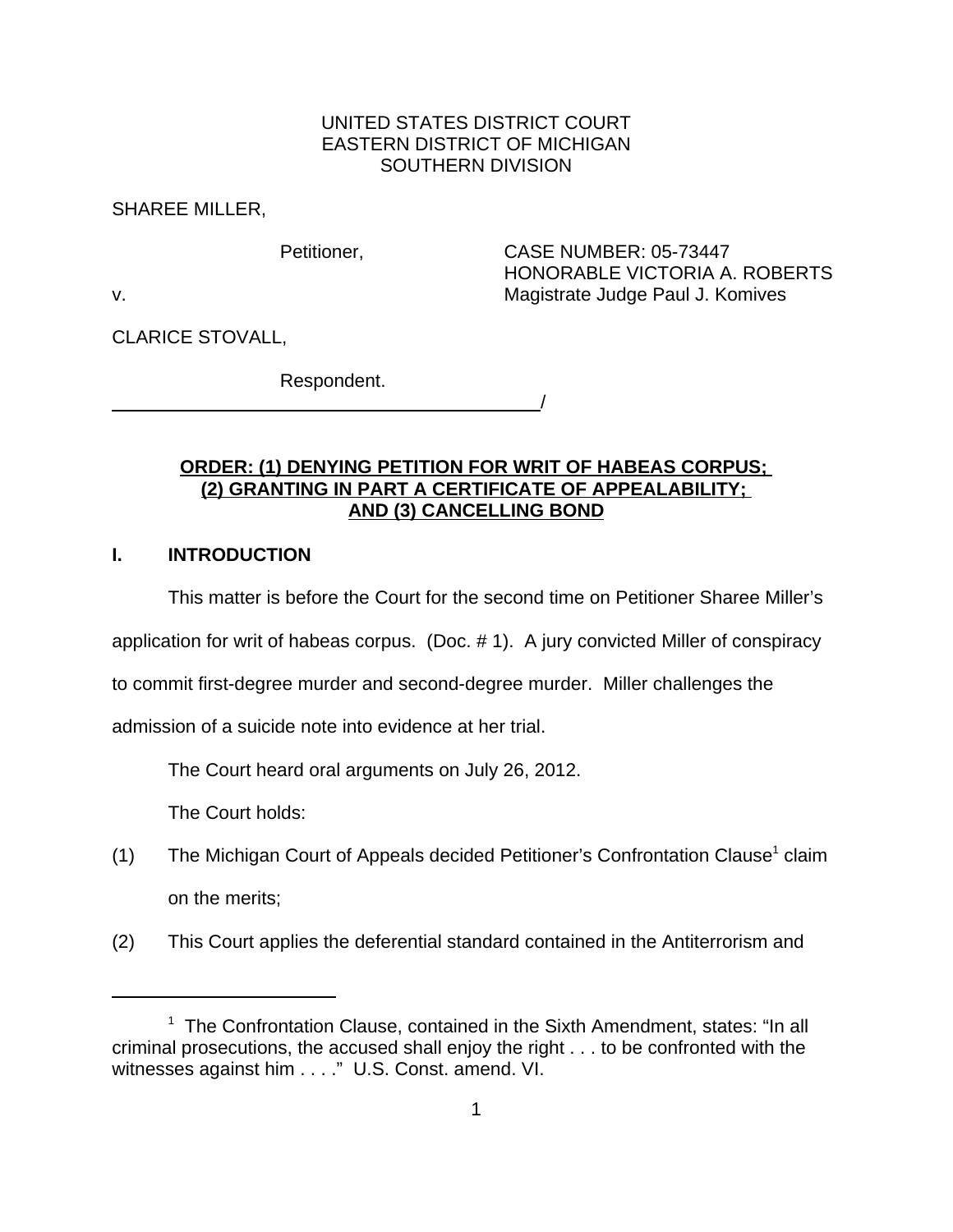# UNITED STATES DISTRICT COURT EASTERN DISTRICT OF MICHIGAN SOUTHERN DIVISION

SHAREE MILLER,

Petitioner, CASE NUMBER: 05-73447 HONORABLE VICTORIA A. ROBERTS v. Magistrate Judge Paul J. Komives

CLARICE STOVALL,

Respondent. <u>/</u>

# **ORDER: (1) DENYING PETITION FOR WRIT OF HABEAS CORPUS; (2) GRANTING IN PART A CERTIFICATE OF APPEALABILITY; AND (3) CANCELLING BOND**

# **I. INTRODUCTION**

This matter is before the Court for the second time on Petitioner Sharee Miller's

application for writ of habeas corpus. (Doc. # 1). A jury convicted Miller of conspiracy

to commit first-degree murder and second-degree murder. Miller challenges the

admission of a suicide note into evidence at her trial.

The Court heard oral arguments on July 26, 2012.

The Court holds:

- (1) The Michigan Court of Appeals decided Petitioner's Confrontation Clause<sup>1</sup> claim on the merits;
- (2) This Court applies the deferential standard contained in the Antiterrorism and

<sup>&</sup>lt;sup>1</sup> The Confrontation Clause, contained in the Sixth Amendment, states: "In all criminal prosecutions, the accused shall enjoy the right . . . to be confronted with the witnesses against him . . . ." U.S. Const. amend. VI.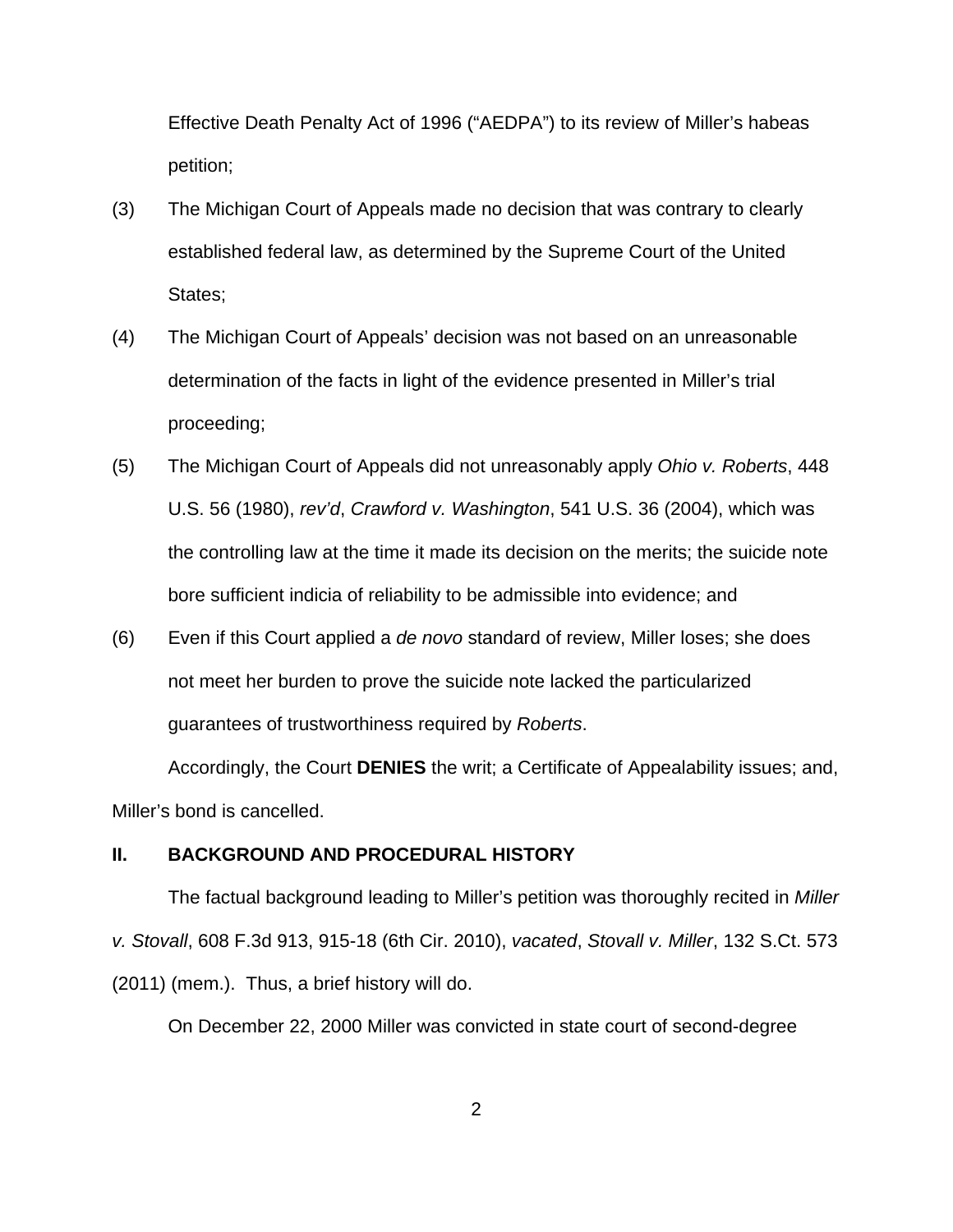Effective Death Penalty Act of 1996 ("AEDPA") to its review of Miller's habeas petition;

- (3) The Michigan Court of Appeals made no decision that was contrary to clearly established federal law, as determined by the Supreme Court of the United States;
- (4) The Michigan Court of Appeals' decision was not based on an unreasonable determination of the facts in light of the evidence presented in Miller's trial proceeding;
- (5) The Michigan Court of Appeals did not unreasonably apply *Ohio v. Roberts*, 448 U.S. 56 (1980), *rev'd*, *Crawford v. Washington*, 541 U.S. 36 (2004), which was the controlling law at the time it made its decision on the merits; the suicide note bore sufficient indicia of reliability to be admissible into evidence; and
- (6) Even if this Court applied a *de novo* standard of review, Miller loses; she does not meet her burden to prove the suicide note lacked the particularized guarantees of trustworthiness required by *Roberts*.

Accordingly, the Court **DENIES** the writ; a Certificate of Appealability issues; and, Miller's bond is cancelled.

#### **II. BACKGROUND AND PROCEDURAL HISTORY**

The factual background leading to Miller's petition was thoroughly recited in *Miller v. Stovall*, 608 F.3d 913, 915-18 (6th Cir. 2010), *vacated*, *Stovall v. Miller*, 132 S.Ct. 573 (2011) (mem.). Thus, a brief history will do.

On December 22, 2000 Miller was convicted in state court of second-degree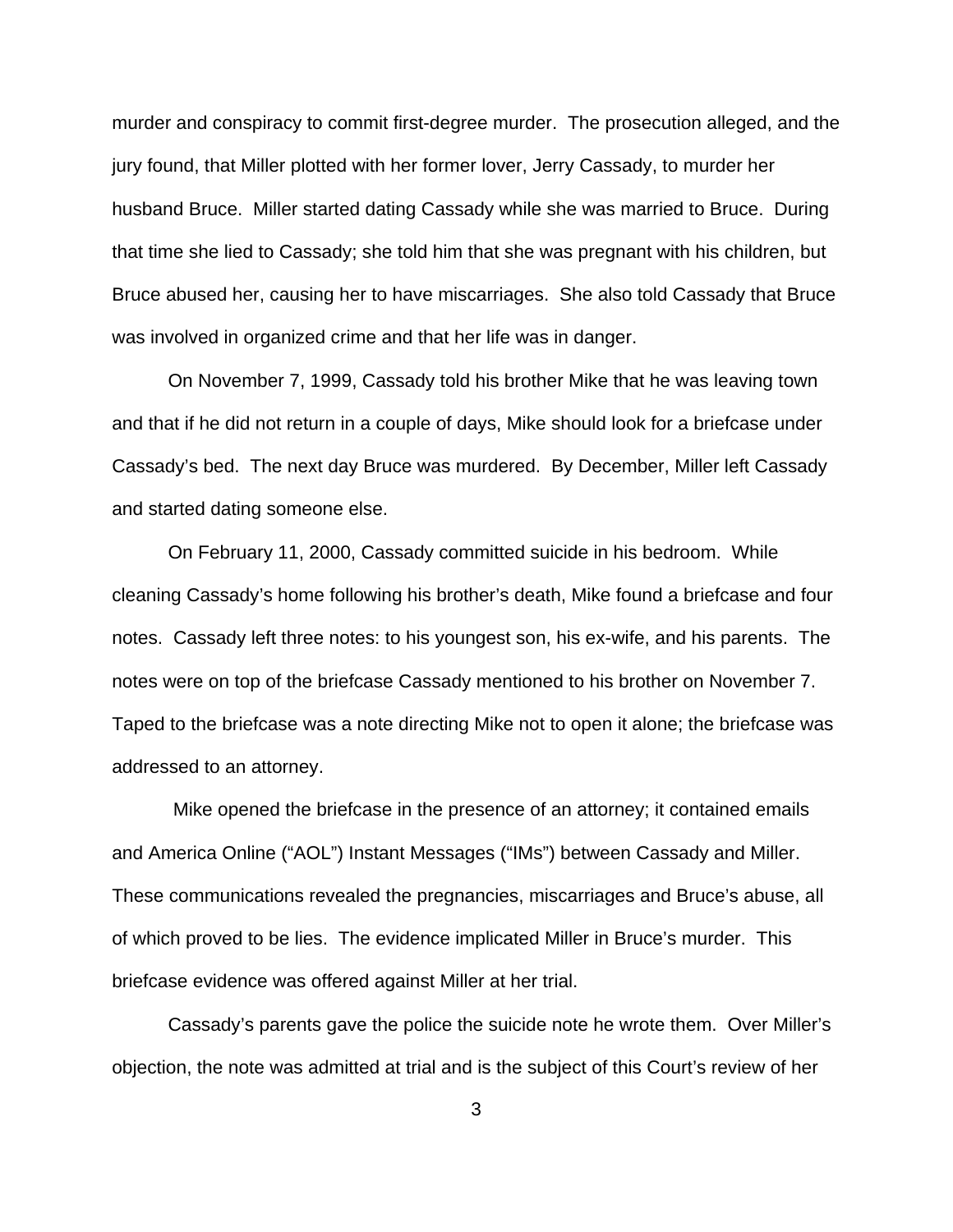murder and conspiracy to commit first-degree murder. The prosecution alleged, and the jury found, that Miller plotted with her former lover, Jerry Cassady, to murder her husband Bruce. Miller started dating Cassady while she was married to Bruce. During that time she lied to Cassady; she told him that she was pregnant with his children, but Bruce abused her, causing her to have miscarriages. She also told Cassady that Bruce was involved in organized crime and that her life was in danger.

On November 7, 1999, Cassady told his brother Mike that he was leaving town and that if he did not return in a couple of days, Mike should look for a briefcase under Cassady's bed. The next day Bruce was murdered. By December, Miller left Cassady and started dating someone else.

On February 11, 2000, Cassady committed suicide in his bedroom. While cleaning Cassady's home following his brother's death, Mike found a briefcase and four notes. Cassady left three notes: to his youngest son, his ex-wife, and his parents. The notes were on top of the briefcase Cassady mentioned to his brother on November 7. Taped to the briefcase was a note directing Mike not to open it alone; the briefcase was addressed to an attorney.

 Mike opened the briefcase in the presence of an attorney; it contained emails and America Online ("AOL") Instant Messages ("IMs") between Cassady and Miller. These communications revealed the pregnancies, miscarriages and Bruce's abuse, all of which proved to be lies. The evidence implicated Miller in Bruce's murder. This briefcase evidence was offered against Miller at her trial.

Cassady's parents gave the police the suicide note he wrote them. Over Miller's objection, the note was admitted at trial and is the subject of this Court's review of her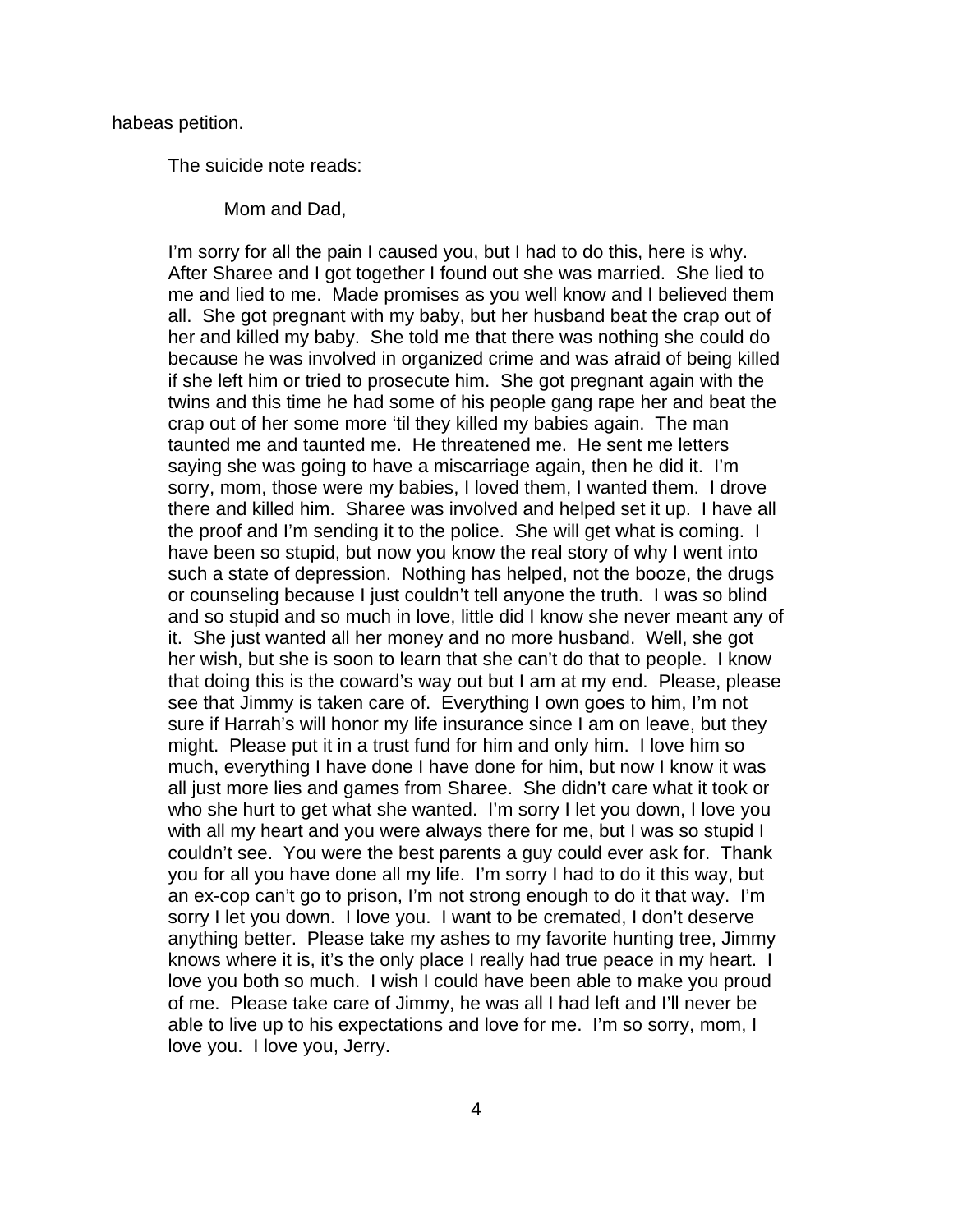habeas petition.

The suicide note reads:

Mom and Dad,

I'm sorry for all the pain I caused you, but I had to do this, here is why. After Sharee and I got together I found out she was married. She lied to me and lied to me. Made promises as you well know and I believed them all. She got pregnant with my baby, but her husband beat the crap out of her and killed my baby. She told me that there was nothing she could do because he was involved in organized crime and was afraid of being killed if she left him or tried to prosecute him. She got pregnant again with the twins and this time he had some of his people gang rape her and beat the crap out of her some more 'til they killed my babies again. The man taunted me and taunted me. He threatened me. He sent me letters saying she was going to have a miscarriage again, then he did it. I'm sorry, mom, those were my babies, I loved them, I wanted them. I drove there and killed him. Sharee was involved and helped set it up. I have all the proof and I'm sending it to the police. She will get what is coming. I have been so stupid, but now you know the real story of why I went into such a state of depression. Nothing has helped, not the booze, the drugs or counseling because I just couldn't tell anyone the truth. I was so blind and so stupid and so much in love, little did I know she never meant any of it. She just wanted all her money and no more husband. Well, she got her wish, but she is soon to learn that she can't do that to people. I know that doing this is the coward's way out but I am at my end. Please, please see that Jimmy is taken care of. Everything I own goes to him, I'm not sure if Harrah's will honor my life insurance since I am on leave, but they might. Please put it in a trust fund for him and only him. I love him so much, everything I have done I have done for him, but now I know it was all just more lies and games from Sharee. She didn't care what it took or who she hurt to get what she wanted. I'm sorry I let you down, I love you with all my heart and you were always there for me, but I was so stupid I couldn't see. You were the best parents a guy could ever ask for. Thank you for all you have done all my life. I'm sorry I had to do it this way, but an ex-cop can't go to prison, I'm not strong enough to do it that way. I'm sorry I let you down. I love you. I want to be cremated, I don't deserve anything better. Please take my ashes to my favorite hunting tree, Jimmy knows where it is, it's the only place I really had true peace in my heart. I love you both so much. I wish I could have been able to make you proud of me. Please take care of Jimmy, he was all I had left and I'll never be able to live up to his expectations and love for me. I'm so sorry, mom, I love you. I love you, Jerry.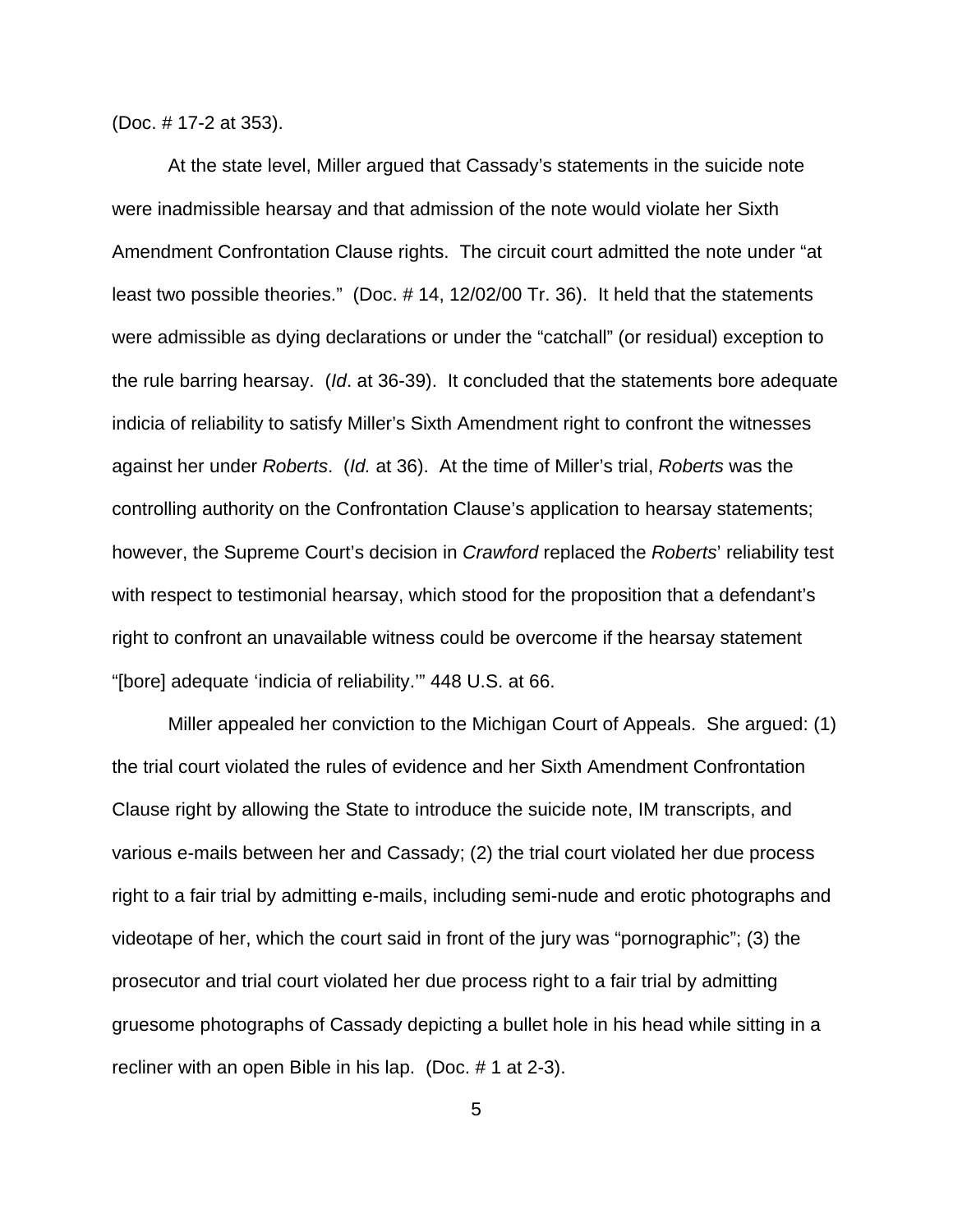(Doc. # 17-2 at 353).

At the state level, Miller argued that Cassady's statements in the suicide note were inadmissible hearsay and that admission of the note would violate her Sixth Amendment Confrontation Clause rights. The circuit court admitted the note under "at least two possible theories." (Doc. # 14, 12/02/00 Tr. 36). It held that the statements were admissible as dying declarations or under the "catchall" (or residual) exception to the rule barring hearsay. (*Id*. at 36-39). It concluded that the statements bore adequate indicia of reliability to satisfy Miller's Sixth Amendment right to confront the witnesses against her under *Roberts*. (*Id.* at 36). At the time of Miller's trial, *Roberts* was the controlling authority on the Confrontation Clause's application to hearsay statements; however, the Supreme Court's decision in *Crawford* replaced the *Roberts*' reliability test with respect to testimonial hearsay, which stood for the proposition that a defendant's right to confront an unavailable witness could be overcome if the hearsay statement "[bore] adequate 'indicia of reliability.'" 448 U.S. at 66.

Miller appealed her conviction to the Michigan Court of Appeals. She argued: (1) the trial court violated the rules of evidence and her Sixth Amendment Confrontation Clause right by allowing the State to introduce the suicide note, IM transcripts, and various e-mails between her and Cassady; (2) the trial court violated her due process right to a fair trial by admitting e-mails, including semi-nude and erotic photographs and videotape of her, which the court said in front of the jury was "pornographic"; (3) the prosecutor and trial court violated her due process right to a fair trial by admitting gruesome photographs of Cassady depicting a bullet hole in his head while sitting in a recliner with an open Bible in his lap. (Doc. # 1 at 2-3).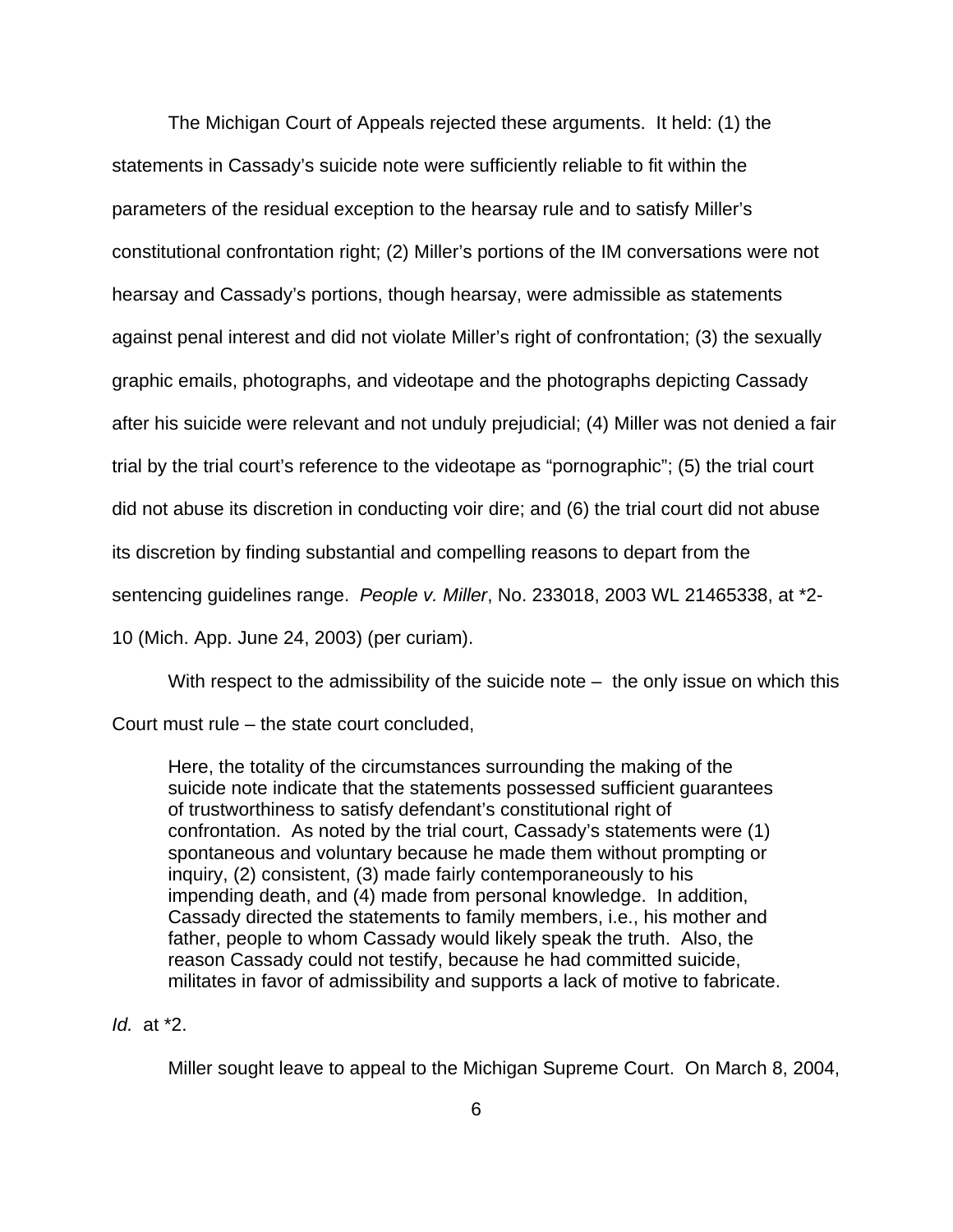The Michigan Court of Appeals rejected these arguments. It held: (1) the statements in Cassady's suicide note were sufficiently reliable to fit within the parameters of the residual exception to the hearsay rule and to satisfy Miller's constitutional confrontation right; (2) Miller's portions of the IM conversations were not hearsay and Cassady's portions, though hearsay, were admissible as statements against penal interest and did not violate Miller's right of confrontation; (3) the sexually graphic emails, photographs, and videotape and the photographs depicting Cassady after his suicide were relevant and not unduly prejudicial; (4) Miller was not denied a fair trial by the trial court's reference to the videotape as "pornographic"; (5) the trial court did not abuse its discretion in conducting voir dire; and (6) the trial court did not abuse its discretion by finding substantial and compelling reasons to depart from the sentencing guidelines range. *People v. Miller*, No. 233018, 2003 WL 21465338, at \*2- 10 (Mich. App. June 24, 2003) (per curiam).

With respect to the admissibility of the suicide note  $-$  the only issue on which this

Court must rule – the state court concluded,

Here, the totality of the circumstances surrounding the making of the suicide note indicate that the statements possessed sufficient guarantees of trustworthiness to satisfy defendant's constitutional right of confrontation. As noted by the trial court, Cassady's statements were (1) spontaneous and voluntary because he made them without prompting or inquiry, (2) consistent, (3) made fairly contemporaneously to his impending death, and (4) made from personal knowledge. In addition, Cassady directed the statements to family members, i.e., his mother and father, people to whom Cassady would likely speak the truth. Also, the reason Cassady could not testify, because he had committed suicide, militates in favor of admissibility and supports a lack of motive to fabricate.

### *Id.*at \*2.

Miller sought leave to appeal to the Michigan Supreme Court. On March 8, 2004,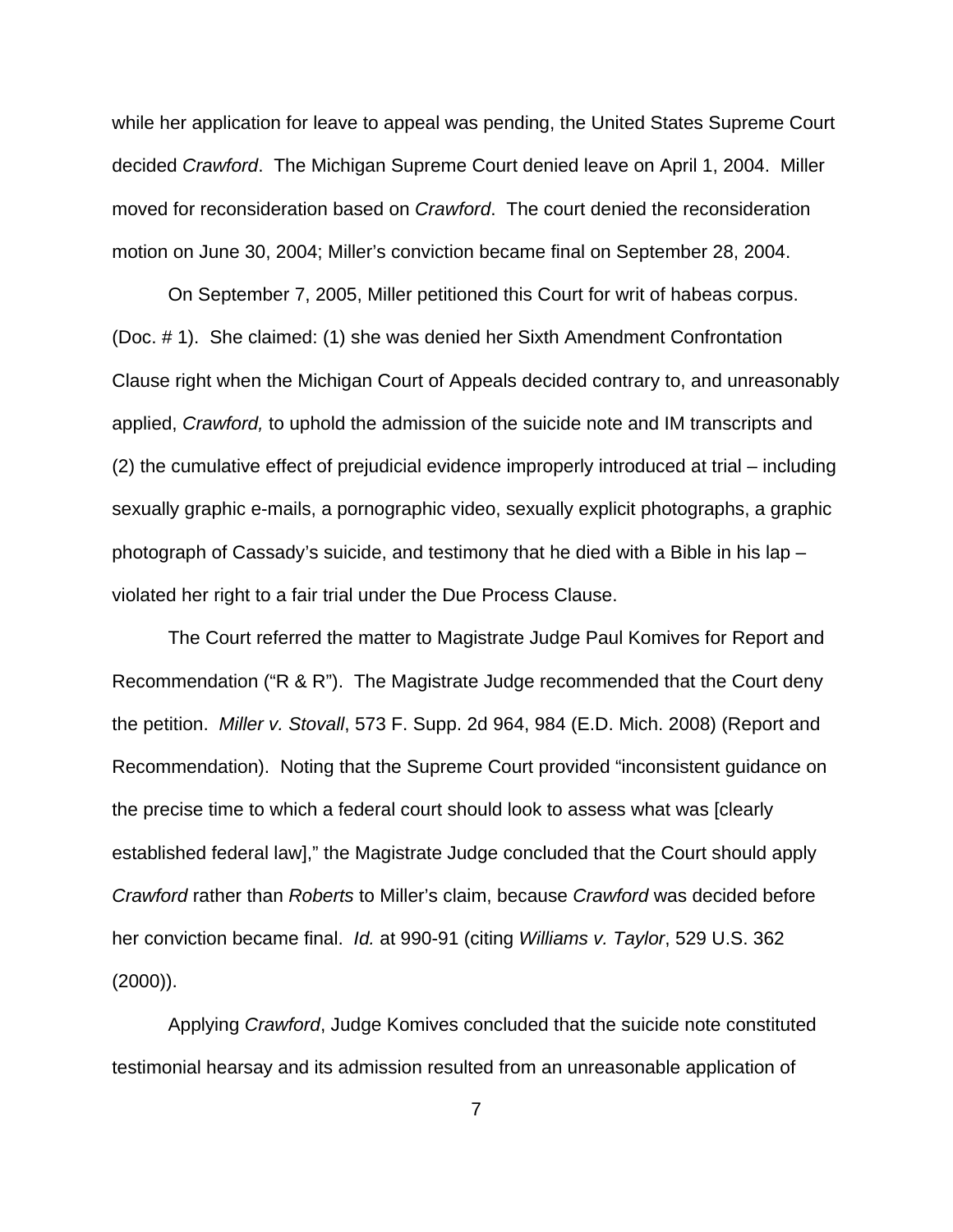while her application for leave to appeal was pending, the United States Supreme Court decided *Crawford*. The Michigan Supreme Court denied leave on April 1, 2004. Miller moved for reconsideration based on *Crawford*. The court denied the reconsideration motion on June 30, 2004; Miller's conviction became final on September 28, 2004.

On September 7, 2005, Miller petitioned this Court for writ of habeas corpus. (Doc. # 1). She claimed: (1) she was denied her Sixth Amendment Confrontation Clause right when the Michigan Court of Appeals decided contrary to, and unreasonably applied, *Crawford,* to uphold the admission of the suicide note and IM transcripts and (2) the cumulative effect of prejudicial evidence improperly introduced at trial – including sexually graphic e-mails, a pornographic video, sexually explicit photographs, a graphic photograph of Cassady's suicide, and testimony that he died with a Bible in his lap – violated her right to a fair trial under the Due Process Clause.

The Court referred the matter to Magistrate Judge Paul Komives for Report and Recommendation ("R & R"). The Magistrate Judge recommended that the Court deny the petition. *Miller v. Stovall*, 573 F. Supp. 2d 964, 984 (E.D. Mich. 2008) (Report and Recommendation). Noting that the Supreme Court provided "inconsistent guidance on the precise time to which a federal court should look to assess what was [clearly established federal law]," the Magistrate Judge concluded that the Court should apply *Crawford* rather than *Roberts* to Miller's claim, because *Crawford* was decided before her conviction became final. *Id.* at 990-91 (citing *Williams v. Taylor*, 529 U.S. 362  $(2000)$ ).

Applying *Crawford*, Judge Komives concluded that the suicide note constituted testimonial hearsay and its admission resulted from an unreasonable application of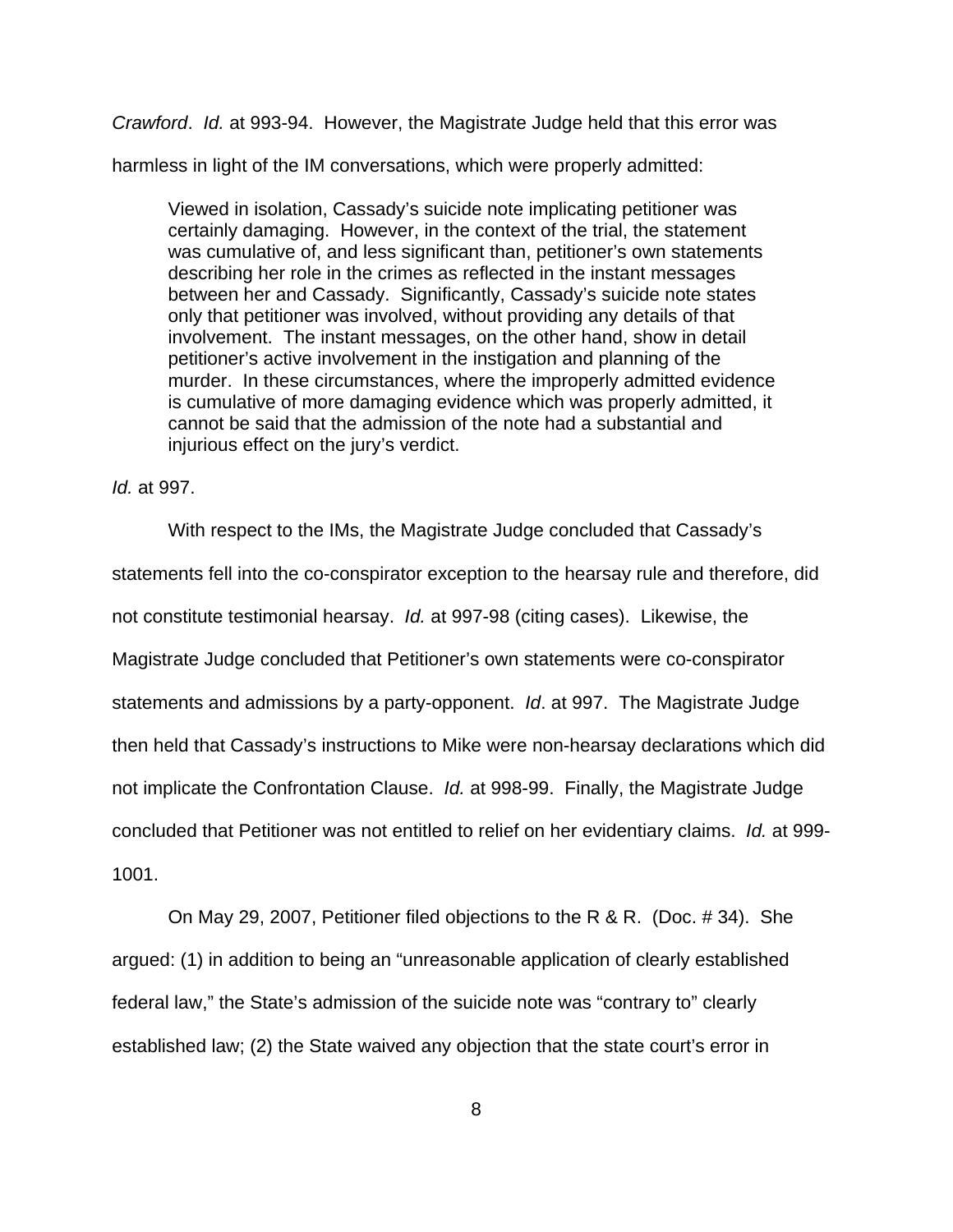*Crawford*. *Id.* at 993-94. However, the Magistrate Judge held that this error was

harmless in light of the IM conversations, which were properly admitted:

Viewed in isolation, Cassady's suicide note implicating petitioner was certainly damaging. However, in the context of the trial, the statement was cumulative of, and less significant than, petitioner's own statements describing her role in the crimes as reflected in the instant messages between her and Cassady. Significantly, Cassady's suicide note states only that petitioner was involved, without providing any details of that involvement. The instant messages, on the other hand, show in detail petitioner's active involvement in the instigation and planning of the murder. In these circumstances, where the improperly admitted evidence is cumulative of more damaging evidence which was properly admitted, it cannot be said that the admission of the note had a substantial and injurious effect on the jury's verdict.

*Id.* at 997.

With respect to the IMs, the Magistrate Judge concluded that Cassady's statements fell into the co-conspirator exception to the hearsay rule and therefore, did not constitute testimonial hearsay. *Id.* at 997-98 (citing cases). Likewise, the Magistrate Judge concluded that Petitioner's own statements were co-conspirator statements and admissions by a party-opponent. *Id*. at 997. The Magistrate Judge then held that Cassady's instructions to Mike were non-hearsay declarations which did not implicate the Confrontation Clause. *Id.* at 998-99. Finally, the Magistrate Judge concluded that Petitioner was not entitled to relief on her evidentiary claims. *Id.* at 999- 1001.

On May 29, 2007, Petitioner filed objections to the R & R. (Doc. # 34). She argued: (1) in addition to being an "unreasonable application of clearly established federal law," the State's admission of the suicide note was "contrary to" clearly established law; (2) the State waived any objection that the state court's error in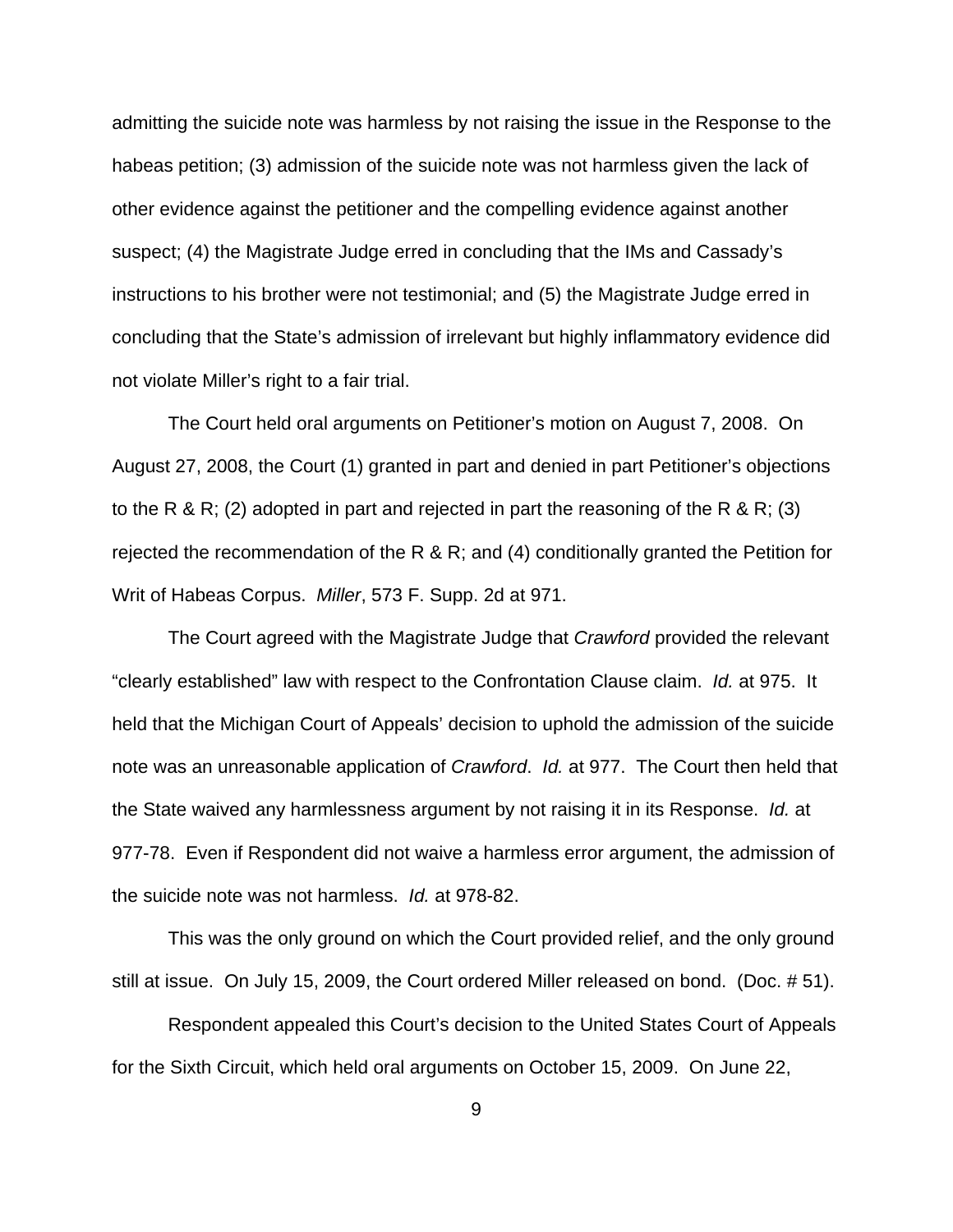admitting the suicide note was harmless by not raising the issue in the Response to the habeas petition; (3) admission of the suicide note was not harmless given the lack of other evidence against the petitioner and the compelling evidence against another suspect; (4) the Magistrate Judge erred in concluding that the IMs and Cassady's instructions to his brother were not testimonial; and (5) the Magistrate Judge erred in concluding that the State's admission of irrelevant but highly inflammatory evidence did not violate Miller's right to a fair trial.

The Court held oral arguments on Petitioner's motion on August 7, 2008. On August 27, 2008, the Court (1) granted in part and denied in part Petitioner's objections to the R & R; (2) adopted in part and rejected in part the reasoning of the R & R; (3) rejected the recommendation of the R & R; and (4) conditionally granted the Petition for Writ of Habeas Corpus. *Miller*, 573 F. Supp. 2d at 971.

The Court agreed with the Magistrate Judge that *Crawford* provided the relevant "clearly established" law with respect to the Confrontation Clause claim. *Id.* at 975. It held that the Michigan Court of Appeals' decision to uphold the admission of the suicide note was an unreasonable application of *Crawford*. *Id.* at 977. The Court then held that the State waived any harmlessness argument by not raising it in its Response. *Id.* at 977-78. Even if Respondent did not waive a harmless error argument, the admission of the suicide note was not harmless. *Id.* at 978-82.

This was the only ground on which the Court provided relief, and the only ground still at issue. On July 15, 2009, the Court ordered Miller released on bond. (Doc. # 51).

Respondent appealed this Court's decision to the United States Court of Appeals for the Sixth Circuit, which held oral arguments on October 15, 2009. On June 22,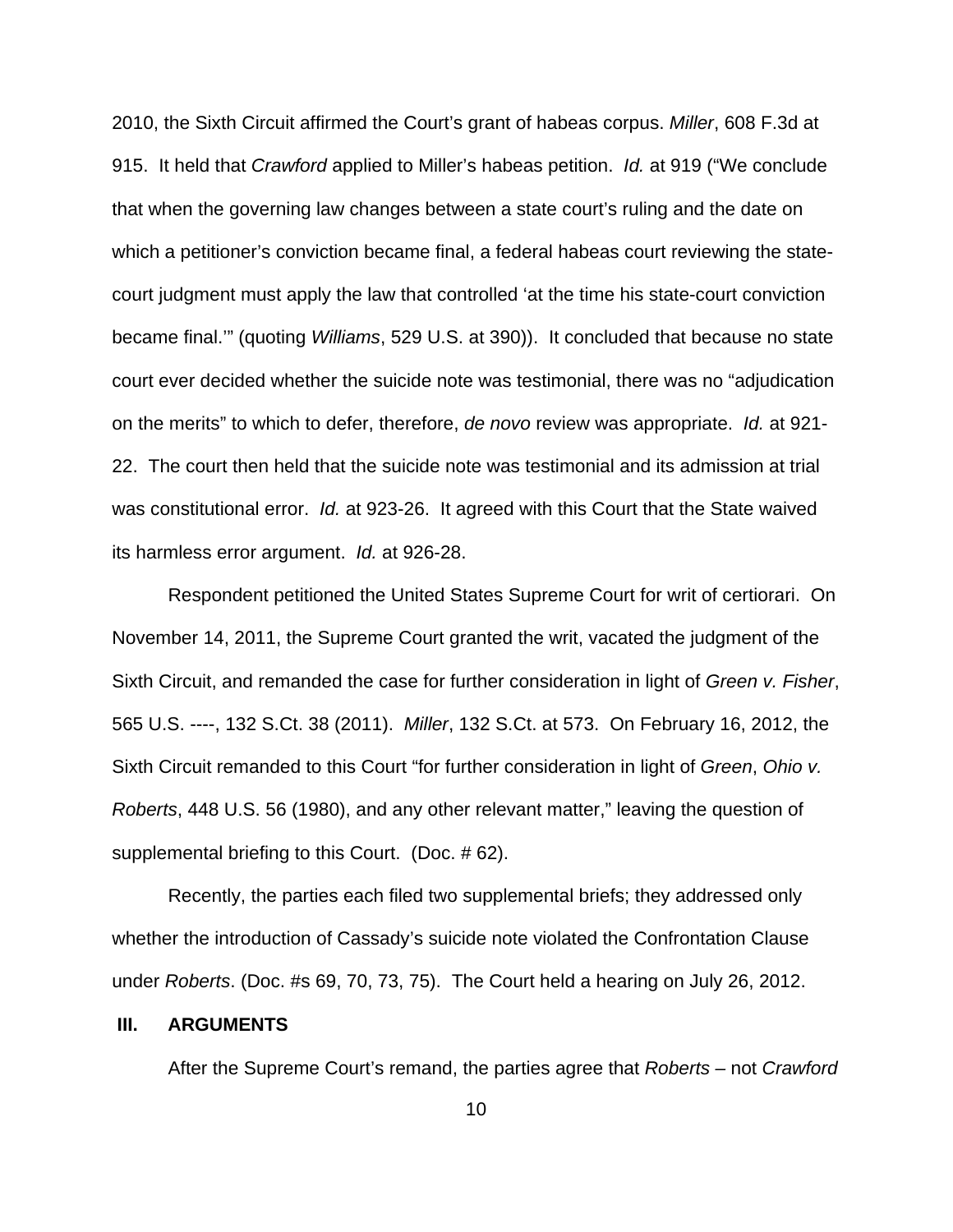2010, the Sixth Circuit affirmed the Court's grant of habeas corpus. *Miller*, 608 F.3d at 915. It held that *Crawford* applied to Miller's habeas petition. *Id.* at 919 ("We conclude that when the governing law changes between a state court's ruling and the date on which a petitioner's conviction became final, a federal habeas court reviewing the statecourt judgment must apply the law that controlled 'at the time his state-court conviction became final.'" (quoting *Williams*, 529 U.S. at 390)). It concluded that because no state court ever decided whether the suicide note was testimonial, there was no "adjudication on the merits" to which to defer, therefore, *de novo* review was appropriate. *Id.* at 921- 22. The court then held that the suicide note was testimonial and its admission at trial was constitutional error. *Id.* at 923-26. It agreed with this Court that the State waived its harmless error argument. *Id.* at 926-28.

Respondent petitioned the United States Supreme Court for writ of certiorari. On November 14, 2011, the Supreme Court granted the writ, vacated the judgment of the Sixth Circuit, and remanded the case for further consideration in light of *Green v. Fisher*, 565 U.S. ----, 132 S.Ct. 38 (2011). *Miller*, 132 S.Ct. at 573. On February 16, 2012, the Sixth Circuit remanded to this Court "for further consideration in light of *Green*, *Ohio v. Roberts*, 448 U.S. 56 (1980), and any other relevant matter," leaving the question of supplemental briefing to this Court. (Doc. # 62).

Recently, the parties each filed two supplemental briefs; they addressed only whether the introduction of Cassady's suicide note violated the Confrontation Clause under *Roberts*. (Doc. #s 69, 70, 73, 75). The Court held a hearing on July 26, 2012.

#### **III. ARGUMENTS**

After the Supreme Court's remand, the parties agree that *Roberts –* not *Crawford*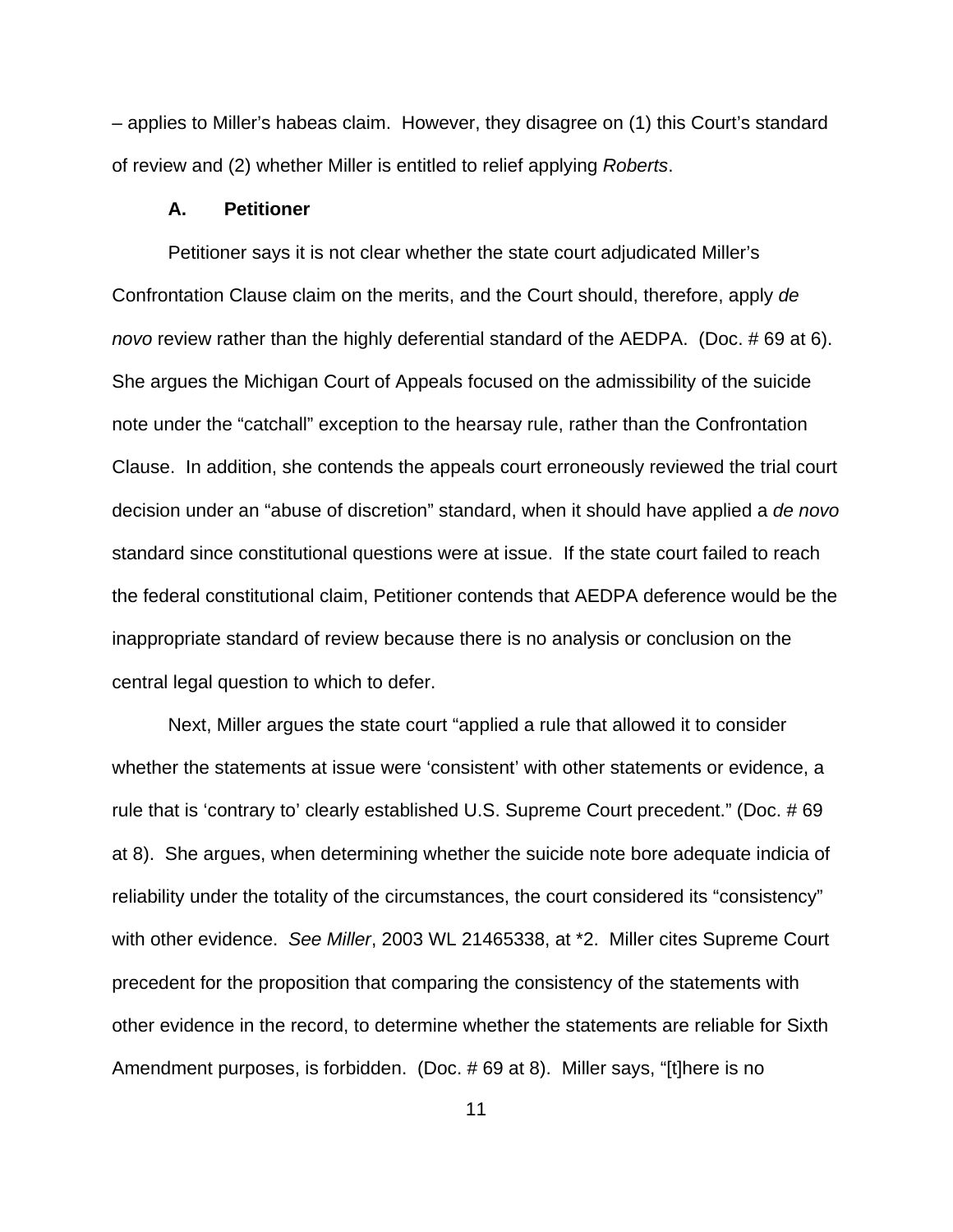*–* applies to Miller's habeas claim. However, they disagree on (1) this Court's standard of review and (2) whether Miller is entitled to relief applying *Roberts*.

#### **A. Petitioner**

Petitioner says it is not clear whether the state court adjudicated Miller's Confrontation Clause claim on the merits, and the Court should, therefore, apply *de novo* review rather than the highly deferential standard of the AEDPA. (Doc. # 69 at 6). She argues the Michigan Court of Appeals focused on the admissibility of the suicide note under the "catchall" exception to the hearsay rule, rather than the Confrontation Clause. In addition, she contends the appeals court erroneously reviewed the trial court decision under an "abuse of discretion" standard, when it should have applied a *de novo* standard since constitutional questions were at issue. If the state court failed to reach the federal constitutional claim, Petitioner contends that AEDPA deference would be the inappropriate standard of review because there is no analysis or conclusion on the central legal question to which to defer.

Next, Miller argues the state court "applied a rule that allowed it to consider whether the statements at issue were 'consistent' with other statements or evidence, a rule that is 'contrary to' clearly established U.S. Supreme Court precedent." (Doc. # 69 at 8). She argues, when determining whether the suicide note bore adequate indicia of reliability under the totality of the circumstances, the court considered its "consistency" with other evidence. *See Miller*, 2003 WL 21465338, at \*2. Miller cites Supreme Court precedent for the proposition that comparing the consistency of the statements with other evidence in the record, to determine whether the statements are reliable for Sixth Amendment purposes, is forbidden. (Doc. # 69 at 8). Miller says, "[t]here is no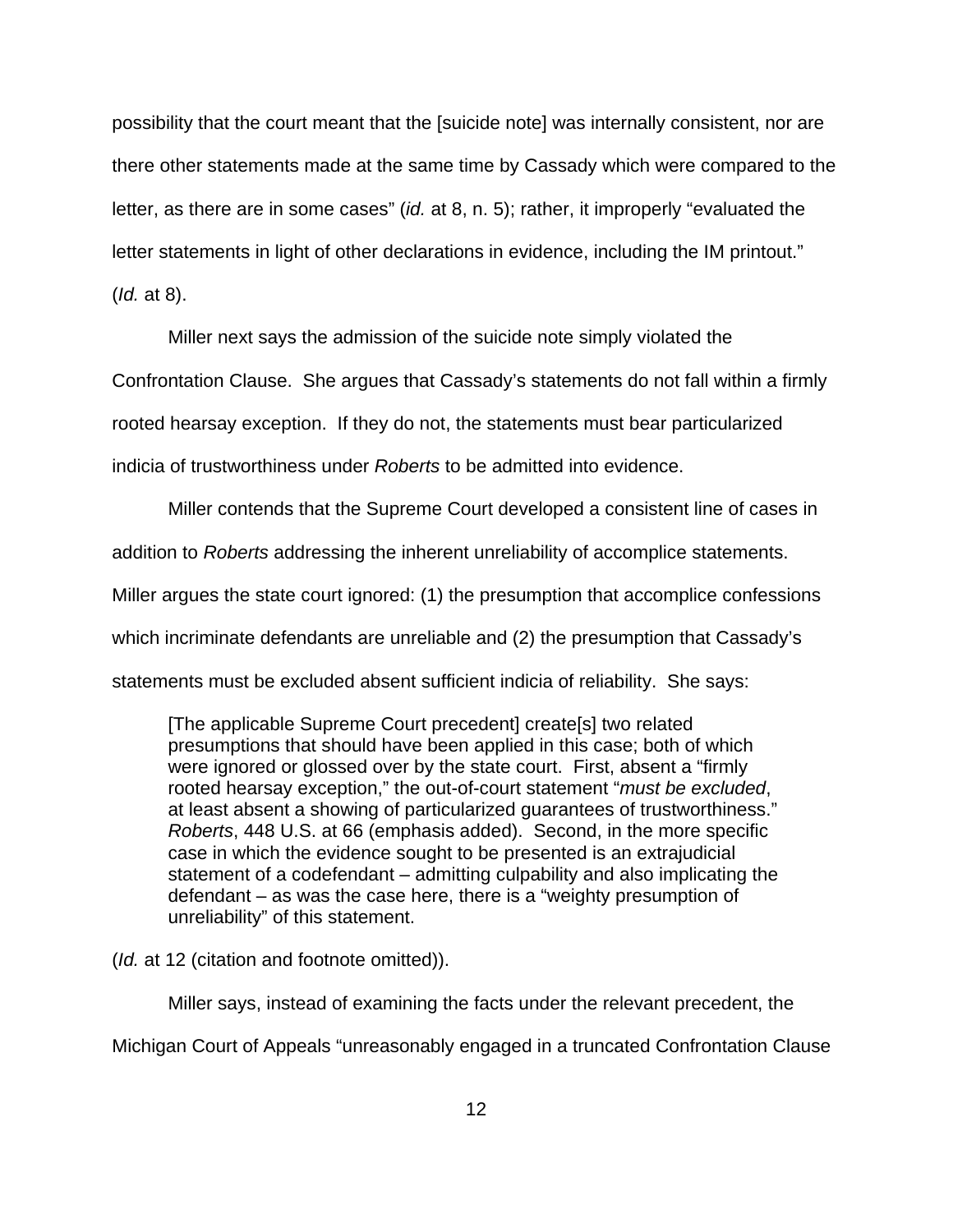possibility that the court meant that the [suicide note] was internally consistent, nor are there other statements made at the same time by Cassady which were compared to the letter, as there are in some cases" (*id.* at 8, n. 5); rather, it improperly "evaluated the letter statements in light of other declarations in evidence, including the IM printout." (*Id.* at 8).

Miller next says the admission of the suicide note simply violated the

Confrontation Clause. She argues that Cassady's statements do not fall within a firmly

rooted hearsay exception. If they do not, the statements must bear particularized

indicia of trustworthiness under *Roberts* to be admitted into evidence.

Miller contends that the Supreme Court developed a consistent line of cases in addition to *Roberts* addressing the inherent unreliability of accomplice statements. Miller argues the state court ignored: (1) the presumption that accomplice confessions which incriminate defendants are unreliable and (2) the presumption that Cassady's statements must be excluded absent sufficient indicia of reliability. She says:

[The applicable Supreme Court precedent] create[s] two related presumptions that should have been applied in this case; both of which were ignored or glossed over by the state court. First, absent a "firmly rooted hearsay exception," the out-of-court statement "*must be excluded*, at least absent a showing of particularized guarantees of trustworthiness." *Roberts*, 448 U.S. at 66 (emphasis added). Second, in the more specific case in which the evidence sought to be presented is an extrajudicial statement of a codefendant – admitting culpability and also implicating the defendant – as was the case here, there is a "weighty presumption of unreliability" of this statement.

(*Id.* at 12 (citation and footnote omitted)).

Miller says, instead of examining the facts under the relevant precedent, the Michigan Court of Appeals "unreasonably engaged in a truncated Confrontation Clause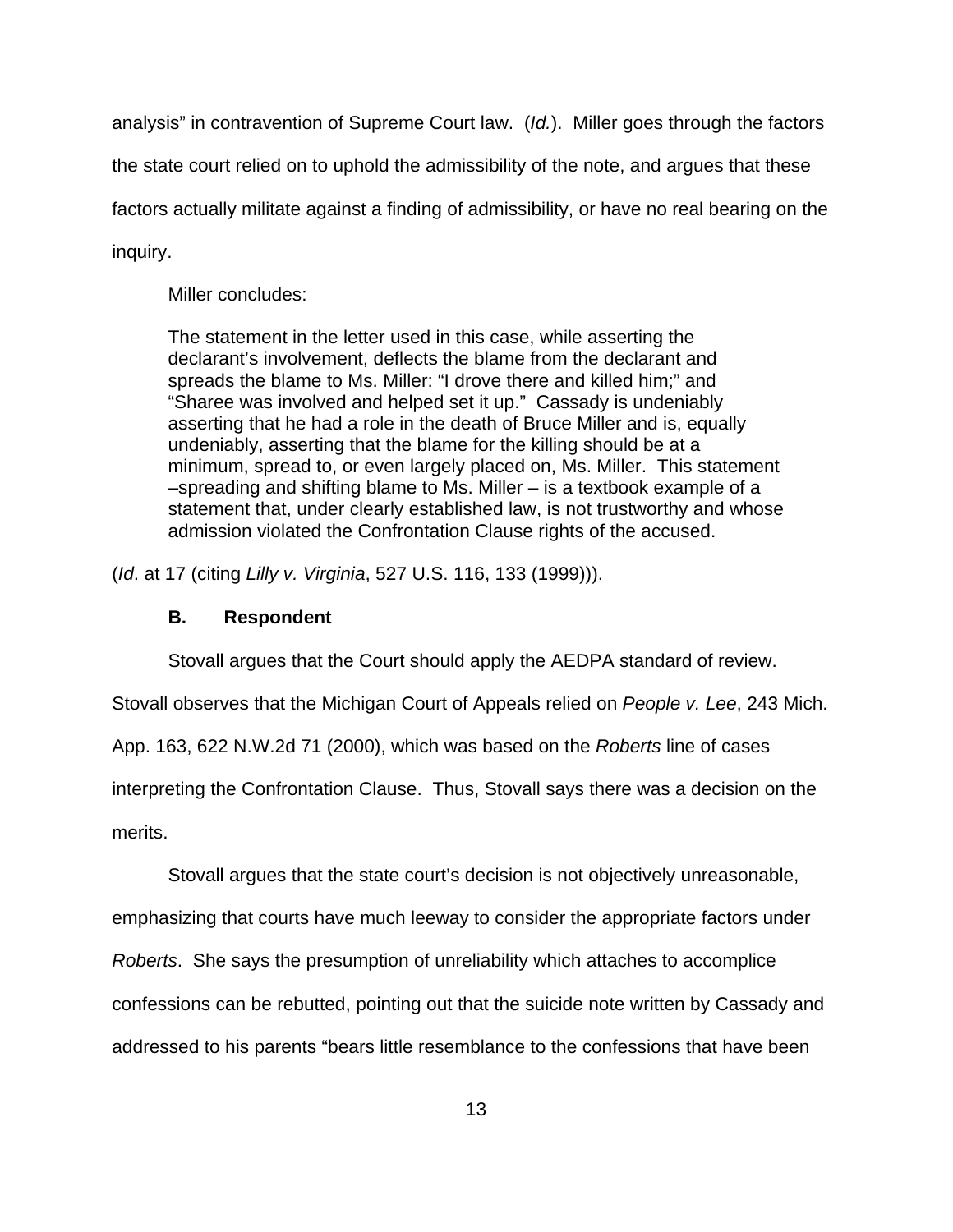analysis" in contravention of Supreme Court law. (*Id.*). Miller goes through the factors

the state court relied on to uphold the admissibility of the note, and argues that these

factors actually militate against a finding of admissibility, or have no real bearing on the

inquiry.

Miller concludes:

The statement in the letter used in this case, while asserting the declarant's involvement, deflects the blame from the declarant and spreads the blame to Ms. Miller: "I drove there and killed him;" and "Sharee was involved and helped set it up." Cassady is undeniably asserting that he had a role in the death of Bruce Miller and is, equally undeniably, asserting that the blame for the killing should be at a minimum, spread to, or even largely placed on, Ms. Miller. This statement –spreading and shifting blame to Ms. Miller – is a textbook example of a statement that, under clearly established law, is not trustworthy and whose admission violated the Confrontation Clause rights of the accused.

(*Id*. at 17 (citing *Lilly v. Virginia*, 527 U.S. 116, 133 (1999))).

# **B. Respondent**

Stovall argues that the Court should apply the AEDPA standard of review.

Stovall observes that the Michigan Court of Appeals relied on *People v. Lee*, 243 Mich.

App. 163, 622 N.W.2d 71 (2000), which was based on the *Roberts* line of cases

interpreting the Confrontation Clause. Thus, Stovall says there was a decision on the

merits.

Stovall argues that the state court's decision is not objectively unreasonable,

emphasizing that courts have much leeway to consider the appropriate factors under

*Roberts*. She says the presumption of unreliability which attaches to accomplice

confessions can be rebutted, pointing out that the suicide note written by Cassady and

addressed to his parents "bears little resemblance to the confessions that have been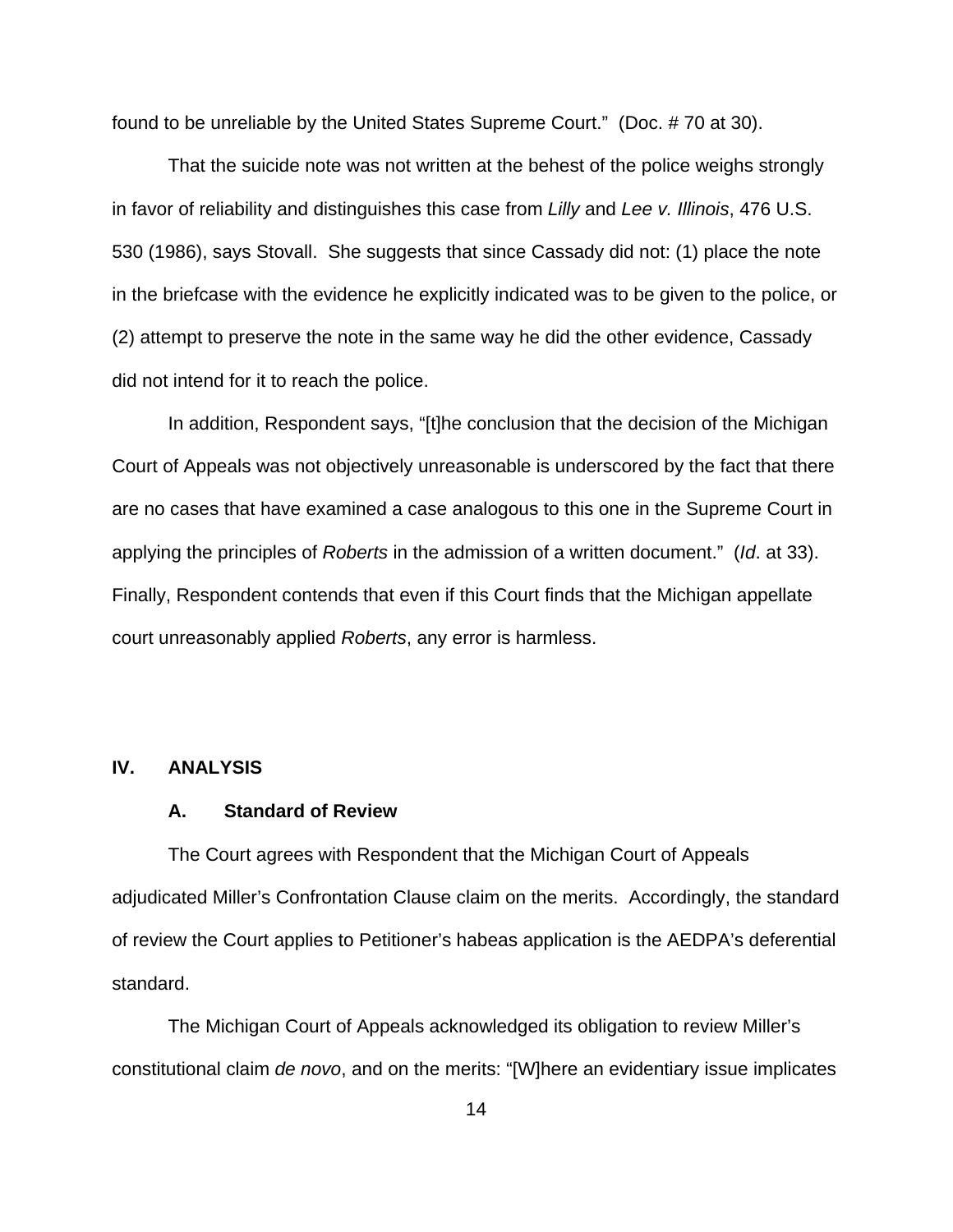found to be unreliable by the United States Supreme Court." (Doc. # 70 at 30).

That the suicide note was not written at the behest of the police weighs strongly in favor of reliability and distinguishes this case from *Lilly* and *Lee v. Illinois*, 476 U.S. 530 (1986), says Stovall. She suggests that since Cassady did not: (1) place the note in the briefcase with the evidence he explicitly indicated was to be given to the police, or (2) attempt to preserve the note in the same way he did the other evidence, Cassady did not intend for it to reach the police.

In addition, Respondent says, "[t]he conclusion that the decision of the Michigan Court of Appeals was not objectively unreasonable is underscored by the fact that there are no cases that have examined a case analogous to this one in the Supreme Court in applying the principles of *Roberts* in the admission of a written document." (*Id*. at 33). Finally, Respondent contends that even if this Court finds that the Michigan appellate court unreasonably applied *Roberts*, any error is harmless.

#### **IV. ANALYSIS**

#### **A. Standard of Review**

The Court agrees with Respondent that the Michigan Court of Appeals adjudicated Miller's Confrontation Clause claim on the merits. Accordingly, the standard of review the Court applies to Petitioner's habeas application is the AEDPA's deferential standard.

The Michigan Court of Appeals acknowledged its obligation to review Miller's constitutional claim *de novo*, and on the merits: "[W]here an evidentiary issue implicates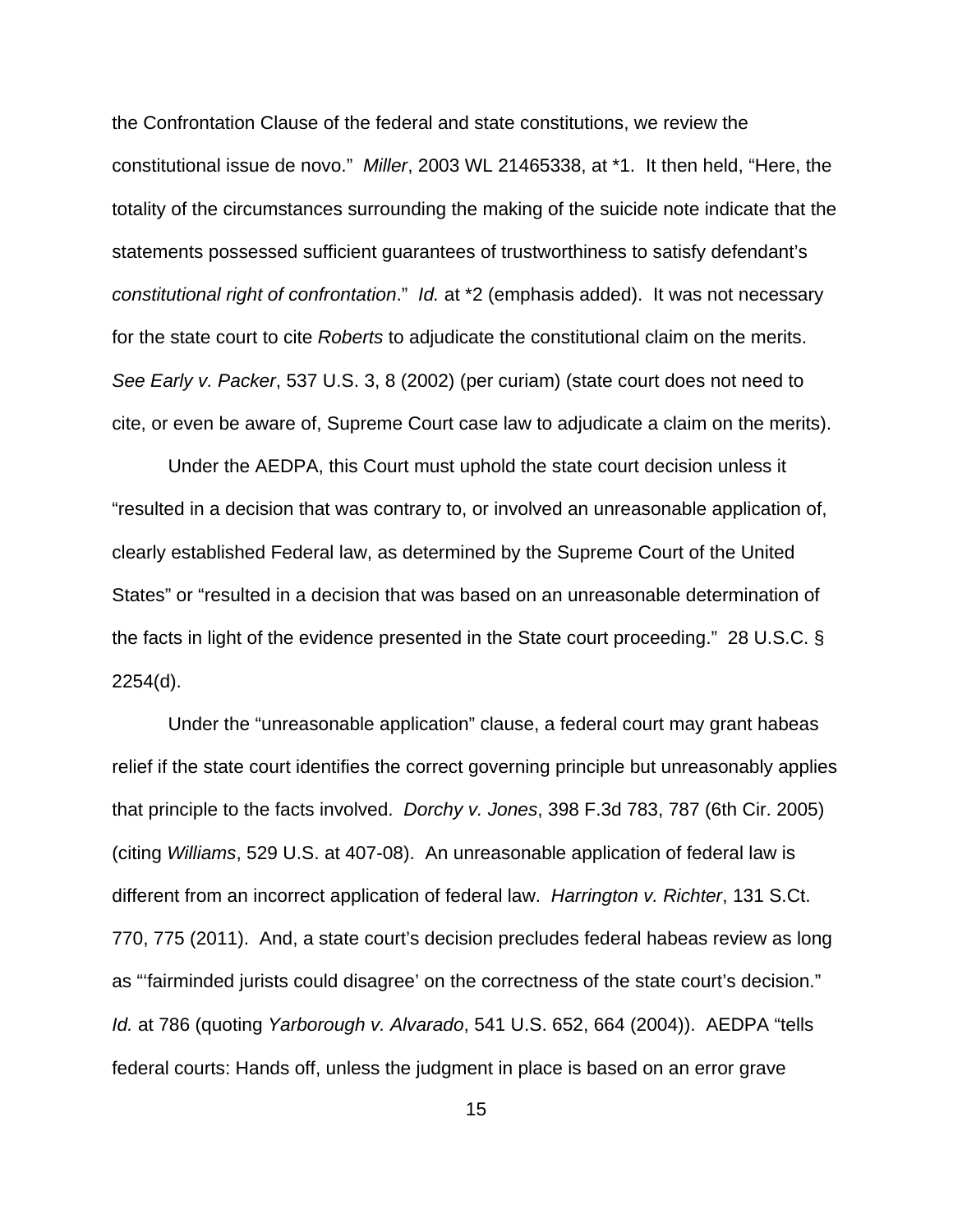the Confrontation Clause of the federal and state constitutions, we review the constitutional issue de novo." *Miller*, 2003 WL 21465338, at \*1. It then held, "Here, the totality of the circumstances surrounding the making of the suicide note indicate that the statements possessed sufficient guarantees of trustworthiness to satisfy defendant's *constitutional right of confrontation*." *Id.* at \*2 (emphasis added). It was not necessary for the state court to cite *Roberts* to adjudicate the constitutional claim on the merits. *See Early v. Packer*, 537 U.S. 3, 8 (2002) (per curiam) (state court does not need to cite, or even be aware of, Supreme Court case law to adjudicate a claim on the merits).

Under the AEDPA, this Court must uphold the state court decision unless it "resulted in a decision that was contrary to, or involved an unreasonable application of, clearly established Federal law, as determined by the Supreme Court of the United States" or "resulted in a decision that was based on an unreasonable determination of the facts in light of the evidence presented in the State court proceeding." 28 U.S.C. § 2254(d).

Under the "unreasonable application" clause, a federal court may grant habeas relief if the state court identifies the correct governing principle but unreasonably applies that principle to the facts involved. *Dorchy v. Jones*, 398 F.3d 783, 787 (6th Cir. 2005) (citing *Williams*, 529 U.S. at 407-08). An unreasonable application of federal law is different from an incorrect application of federal law. *Harrington v. Richter*, 131 S.Ct. 770, 775 (2011). And, a state court's decision precludes federal habeas review as long as "'fairminded jurists could disagree' on the correctness of the state court's decision." *Id.* at 786 (quoting *Yarborough v. Alvarado*, 541 U.S. 652, 664 (2004)).AEDPA "tells federal courts: Hands off, unless the judgment in place is based on an error grave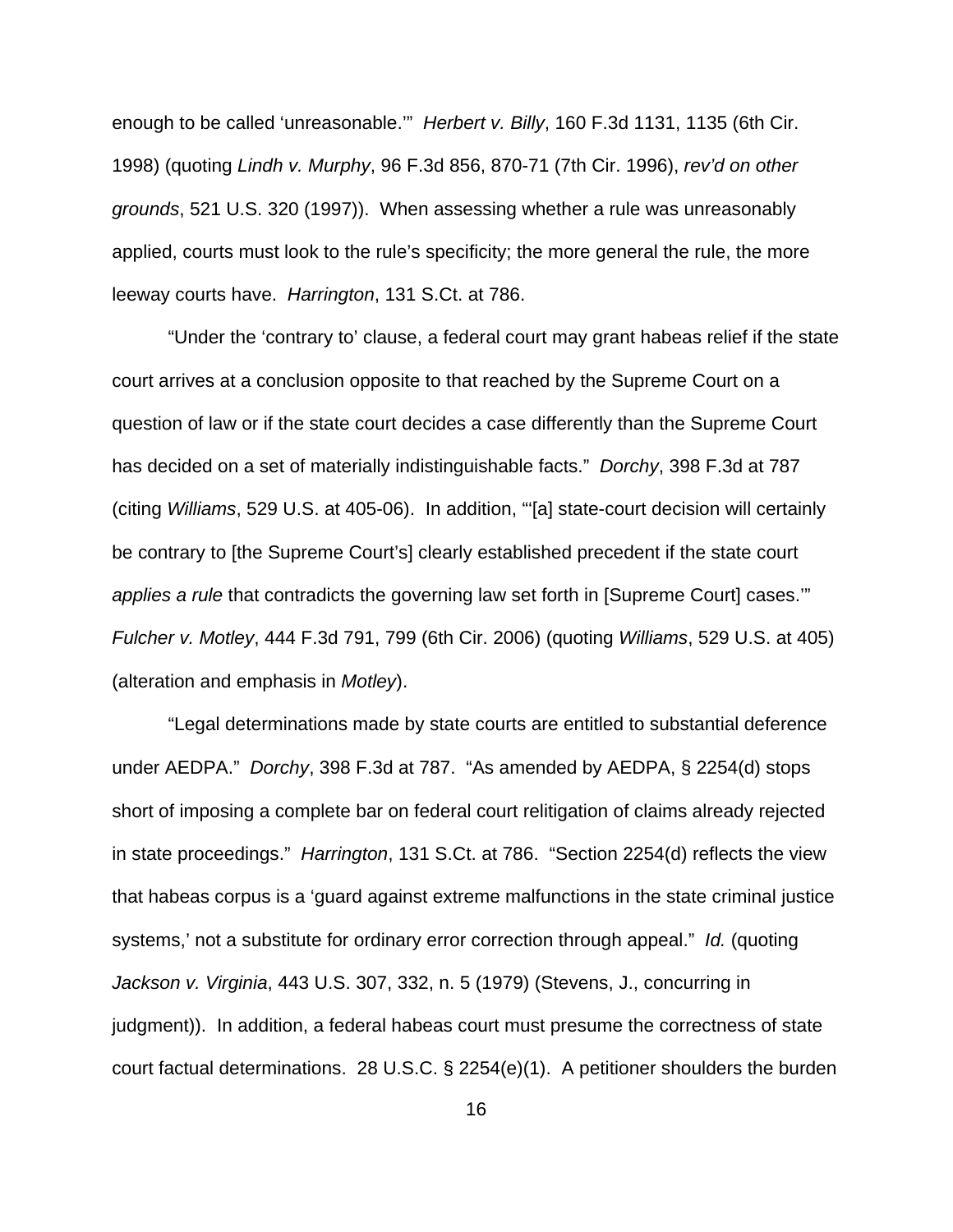enough to be called 'unreasonable.'" *Herbert v. Billy*, 160 F.3d 1131, 1135 (6th Cir. 1998) (quoting *Lindh v. Murphy*, 96 F.3d 856, 870-71 (7th Cir. 1996), *rev'd on other grounds*, 521 U.S. 320 (1997)). When assessing whether a rule was unreasonably applied, courts must look to the rule's specificity; the more general the rule, the more leeway courts have. *Harrington*, 131 S.Ct. at 786.

"Under the 'contrary to' clause, a federal court may grant habeas relief if the state court arrives at a conclusion opposite to that reached by the Supreme Court on a question of law or if the state court decides a case differently than the Supreme Court has decided on a set of materially indistinguishable facts." *Dorchy*, 398 F.3d at 787 (citing *Williams*, 529 U.S. at 405-06). In addition, "'[a] state-court decision will certainly be contrary to [the Supreme Court's] clearly established precedent if the state court *applies a rule* that contradicts the governing law set forth in [Supreme Court] cases.'" *Fulcher v. Motley*, 444 F.3d 791, 799 (6th Cir. 2006) (quoting *Williams*, 529 U.S. at 405) (alteration and emphasis in *Motley*).

"Legal determinations made by state courts are entitled to substantial deference under AEDPA." *Dorchy*, 398 F.3d at 787. "As amended by AEDPA, § 2254(d) stops short of imposing a complete bar on federal court relitigation of claims already rejected in state proceedings." *Harrington*, 131 S.Ct. at 786. "Section 2254(d) reflects the view that habeas corpus is a 'guard against extreme malfunctions in the state criminal justice systems,' not a substitute for ordinary error correction through appeal." *Id.* (quoting *Jackson v. Virginia*, 443 U.S. 307, 332, n. 5 (1979) (Stevens, J., concurring in judgment)). In addition, a federal habeas court must presume the correctness of state court factual determinations. 28 U.S.C. § 2254(e)(1). A petitioner shoulders the burden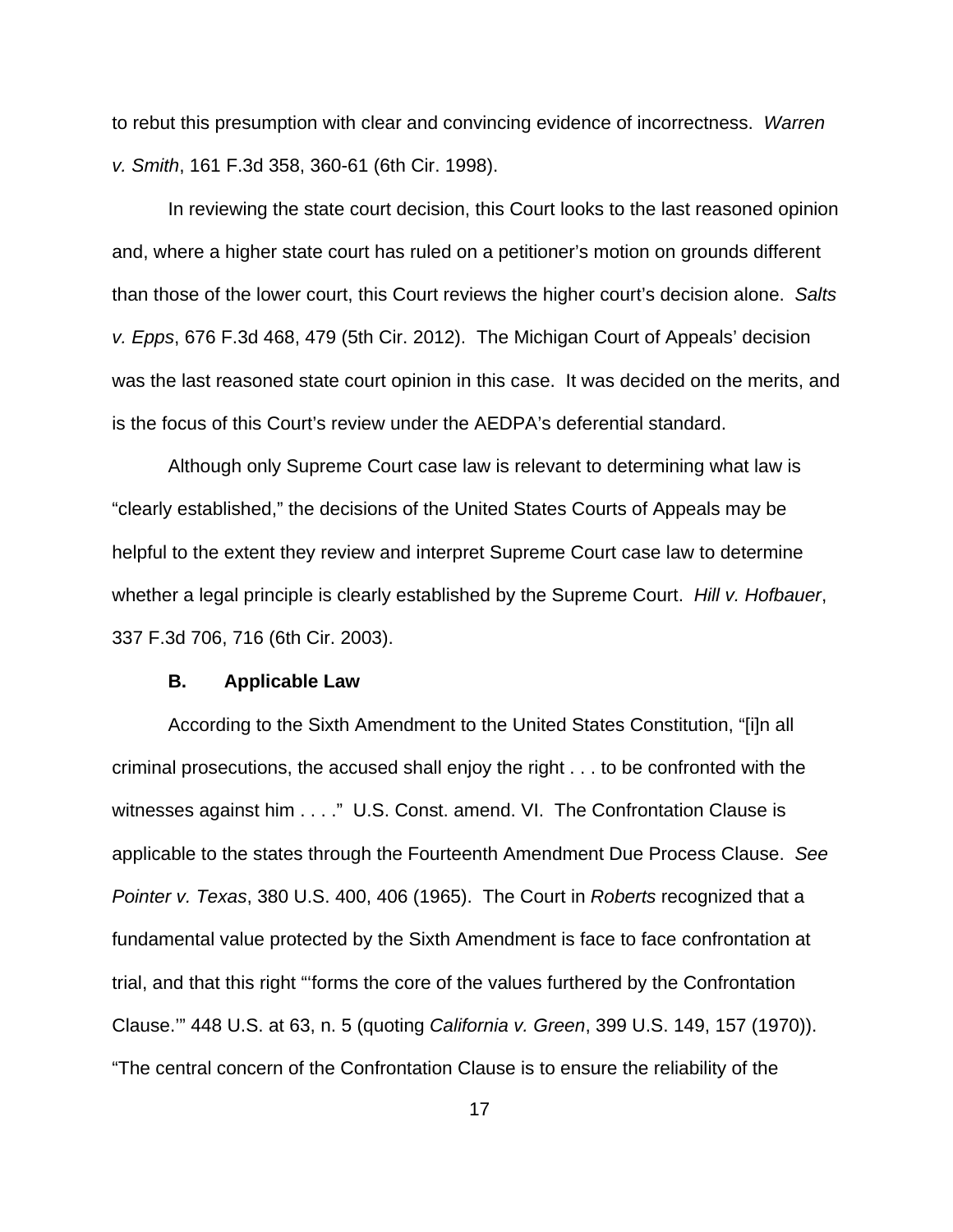to rebut this presumption with clear and convincing evidence of incorrectness. *Warren v. Smith*, 161 F.3d 358, 360-61 (6th Cir. 1998).

In reviewing the state court decision, this Court looks to the last reasoned opinion and, where a higher state court has ruled on a petitioner's motion on grounds different than those of the lower court, this Court reviews the higher court's decision alone. *Salts v. Epps*, 676 F.3d 468, 479 (5th Cir. 2012). The Michigan Court of Appeals' decision was the last reasoned state court opinion in this case. It was decided on the merits, and is the focus of this Court's review under the AEDPA's deferential standard.

Although only Supreme Court case law is relevant to determining what law is "clearly established," the decisions of the United States Courts of Appeals may be helpful to the extent they review and interpret Supreme Court case law to determine whether a legal principle is clearly established by the Supreme Court. *Hill v. Hofbauer*, 337 F.3d 706, 716 (6th Cir. 2003).

#### **B. Applicable Law**

According to the Sixth Amendment to the United States Constitution, "[i]n all criminal prosecutions, the accused shall enjoy the right . . . to be confronted with the witnesses against him . . . ." U.S. Const. amend. VI. The Confrontation Clause is applicable to the states through the Fourteenth Amendment Due Process Clause. *See Pointer v. Texas*, 380 U.S. 400, 406 (1965). The Court in *Roberts* recognized that a fundamental value protected by the Sixth Amendment is face to face confrontation at trial, and that this right "'forms the core of the values furthered by the Confrontation Clause.'" 448 U.S. at 63, n. 5 (quoting *California v. Green*, 399 U.S. 149, 157 (1970)). "The central concern of the Confrontation Clause is to ensure the reliability of the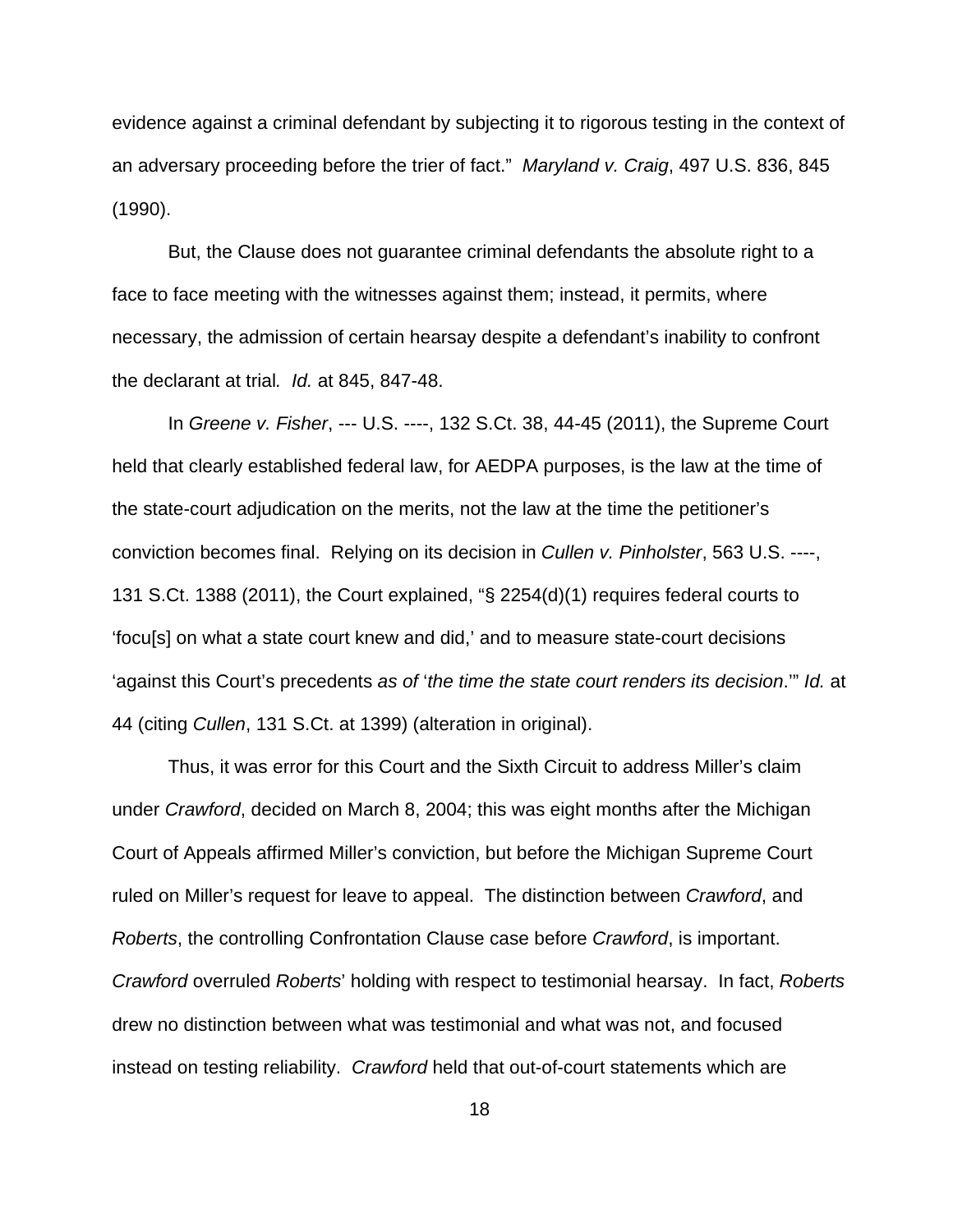evidence against a criminal defendant by subjecting it to rigorous testing in the context of an adversary proceeding before the trier of fact." *Maryland v. Craig*, 497 U.S. 836, 845 (1990).

But, the Clause does not guarantee criminal defendants the absolute right to a face to face meeting with the witnesses against them; instead, it permits, where necessary, the admission of certain hearsay despite a defendant's inability to confront the declarant at trial*. Id.* at 845, 847-48.

In *Greene v. Fisher*, --- U.S. ----, 132 S.Ct. 38, 44-45 (2011), the Supreme Court held that clearly established federal law, for AEDPA purposes, is the law at the time of the state-court adjudication on the merits, not the law at the time the petitioner's conviction becomes final. Relying on its decision in *Cullen v. Pinholster*, 563 U.S. ----, 131 S.Ct. 1388 (2011), the Court explained, "§ 2254(d)(1) requires federal courts to 'focu[s] on what a state court knew and did,' and to measure state-court decisions 'against this Court's precedents *as of* '*the time the state court renders its decision*.'" *Id.* at 44 (citing *Cullen*, 131 S.Ct. at 1399) (alteration in original).

Thus, it was error for this Court and the Sixth Circuit to address Miller's claim under *Crawford*, decided on March 8, 2004; this was eight months after the Michigan Court of Appeals affirmed Miller's conviction, but before the Michigan Supreme Court ruled on Miller's request for leave to appeal. The distinction between *Crawford*, and *Roberts*, the controlling Confrontation Clause case before *Crawford*, is important. *Crawford* overruled *Roberts*' holding with respect to testimonial hearsay. In fact, *Roberts* drew no distinction between what was testimonial and what was not, and focused instead on testing reliability. *Crawford* held that out-of-court statements which are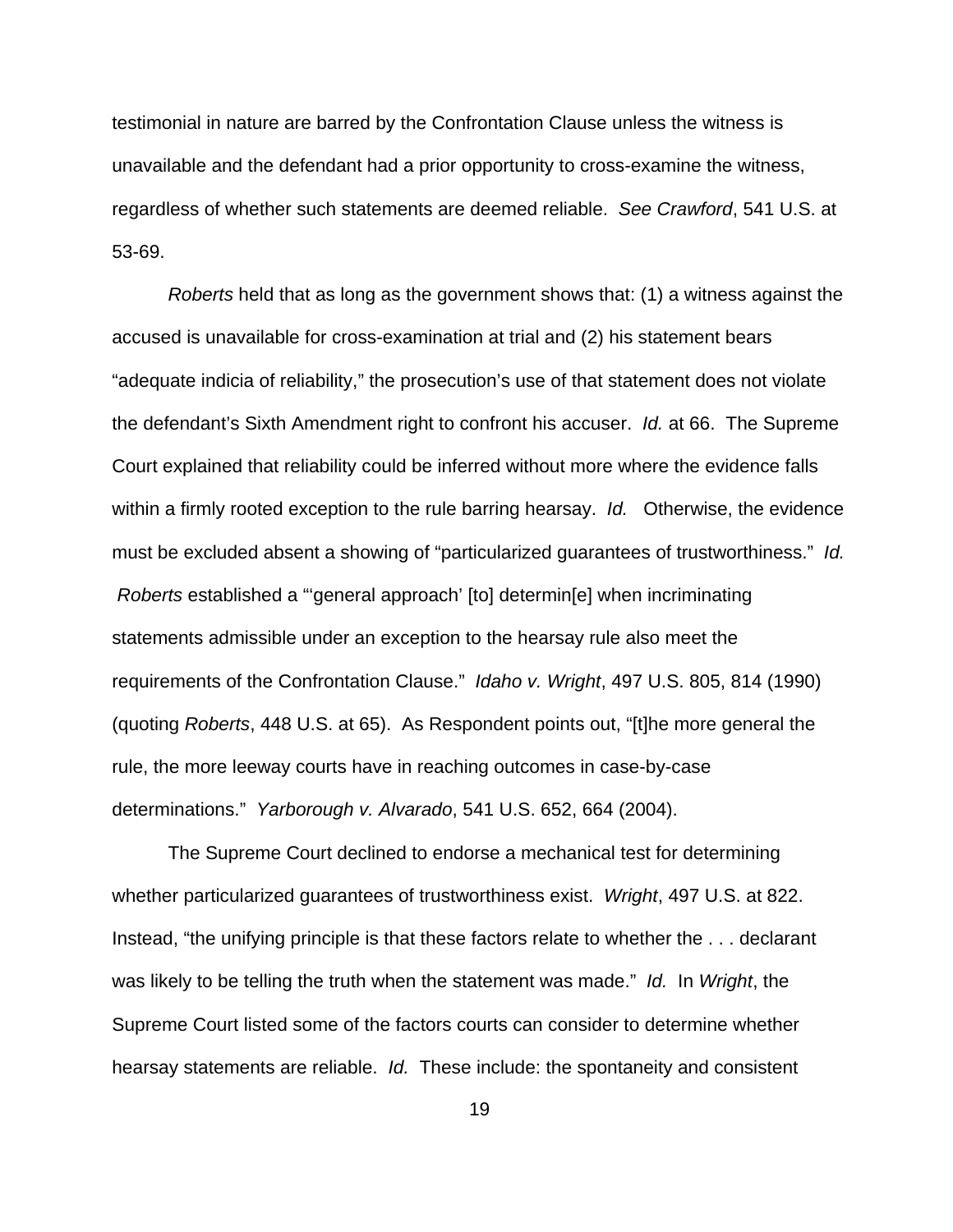testimonial in nature are barred by the Confrontation Clause unless the witness is unavailable and the defendant had a prior opportunity to cross-examine the witness, regardless of whether such statements are deemed reliable. *See Crawford*, 541 U.S. at 53-69.

*Roberts* held that as long as the government shows that: (1) a witness against the accused is unavailable for cross-examination at trial and (2) his statement bears "adequate indicia of reliability," the prosecution's use of that statement does not violate the defendant's Sixth Amendment right to confront his accuser. *Id.* at 66. The Supreme Court explained that reliability could be inferred without more where the evidence falls within a firmly rooted exception to the rule barring hearsay. *Id.* Otherwise, the evidence must be excluded absent a showing of "particularized guarantees of trustworthiness." *Id. Roberts* established a "'general approach' [to] determin[e] when incriminating statements admissible under an exception to the hearsay rule also meet the requirements of the Confrontation Clause." *Idaho v. Wright*, 497 U.S. 805, 814 (1990) (quoting *Roberts*, 448 U.S. at 65). As Respondent points out, "[t]he more general the rule, the more leeway courts have in reaching outcomes in case-by-case determinations." *Yarborough v. Alvarado*, 541 U.S. 652, 664 (2004).

The Supreme Court declined to endorse a mechanical test for determining whether particularized guarantees of trustworthiness exist. *Wright*, 497 U.S. at 822. Instead, "the unifying principle is that these factors relate to whether the . . . declarant was likely to be telling the truth when the statement was made." *Id.* In *Wright*, the Supreme Court listed some of the factors courts can consider to determine whether hearsay statements are reliable. *Id.* These include: the spontaneity and consistent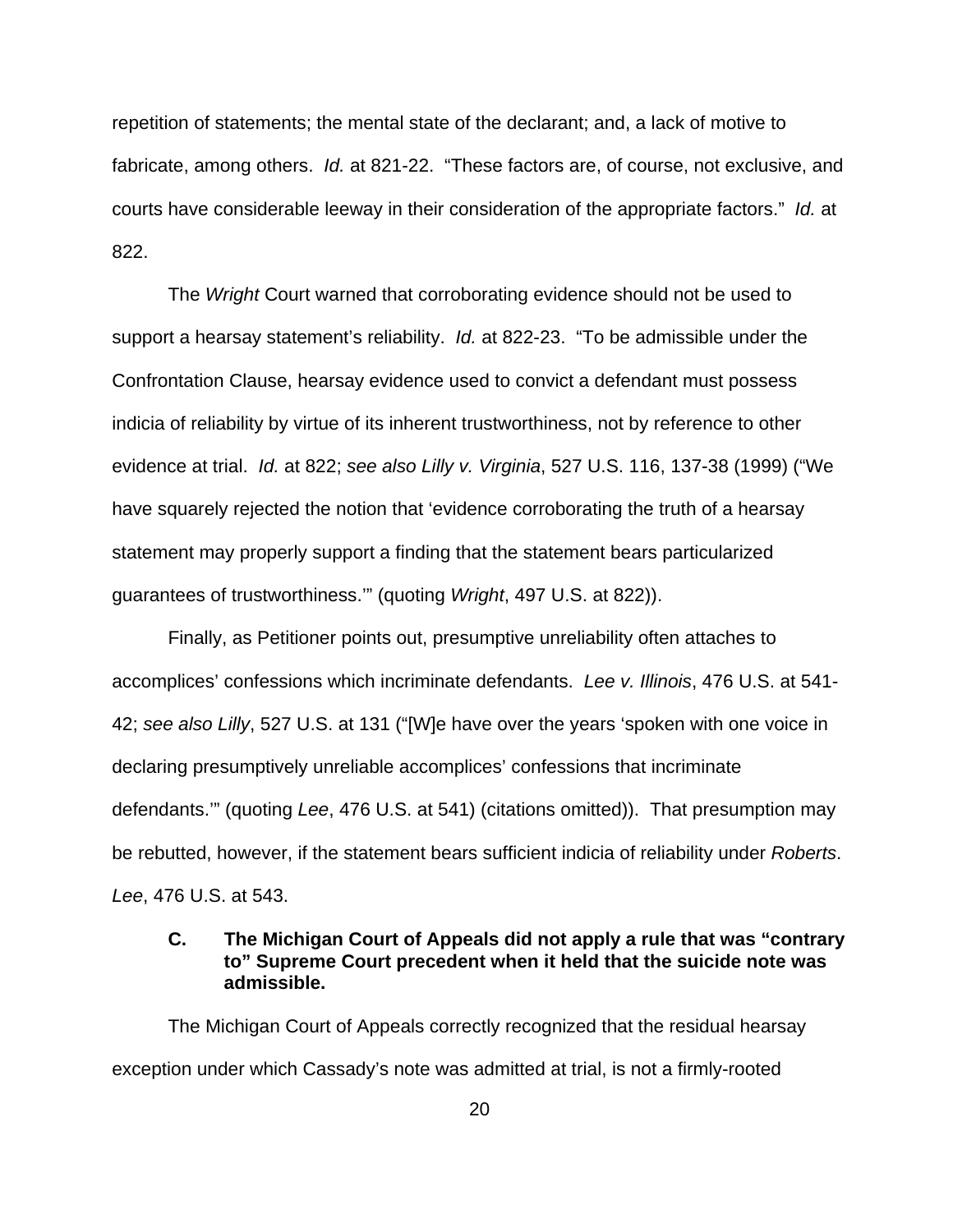repetition of statements; the mental state of the declarant; and, a lack of motive to fabricate, among others. *Id.* at 821-22. "These factors are, of course, not exclusive, and courts have considerable leeway in their consideration of the appropriate factors." *Id.* at 822.

The *Wright* Court warned that corroborating evidence should not be used to support a hearsay statement's reliability. *Id.* at 822-23. "To be admissible under the Confrontation Clause, hearsay evidence used to convict a defendant must possess indicia of reliability by virtue of its inherent trustworthiness, not by reference to other evidence at trial. *Id.* at 822; *see also Lilly v. Virginia*, 527 U.S. 116, 137-38 (1999) ("We have squarely rejected the notion that 'evidence corroborating the truth of a hearsay statement may properly support a finding that the statement bears particularized guarantees of trustworthiness.'" (quoting *Wright*, 497 U.S. at 822)).

Finally, as Petitioner points out, presumptive unreliability often attaches to accomplices' confessions which incriminate defendants. *Lee v. Illinois*, 476 U.S. at 541- 42; *see also Lilly*, 527 U.S. at 131 ("[W]e have over the years 'spoken with one voice in declaring presumptively unreliable accomplices' confessions that incriminate defendants.'" (quoting *Lee*, 476 U.S. at 541) (citations omitted)). That presumption may be rebutted, however, if the statement bears sufficient indicia of reliability under *Roberts*. *Lee*, 476 U.S. at 543.

# **C. The Michigan Court of Appeals did not apply a rule that was "contrary to" Supreme Court precedent when it held that the suicide note was admissible.**

The Michigan Court of Appeals correctly recognized that the residual hearsay exception under which Cassady's note was admitted at trial, is not a firmly-rooted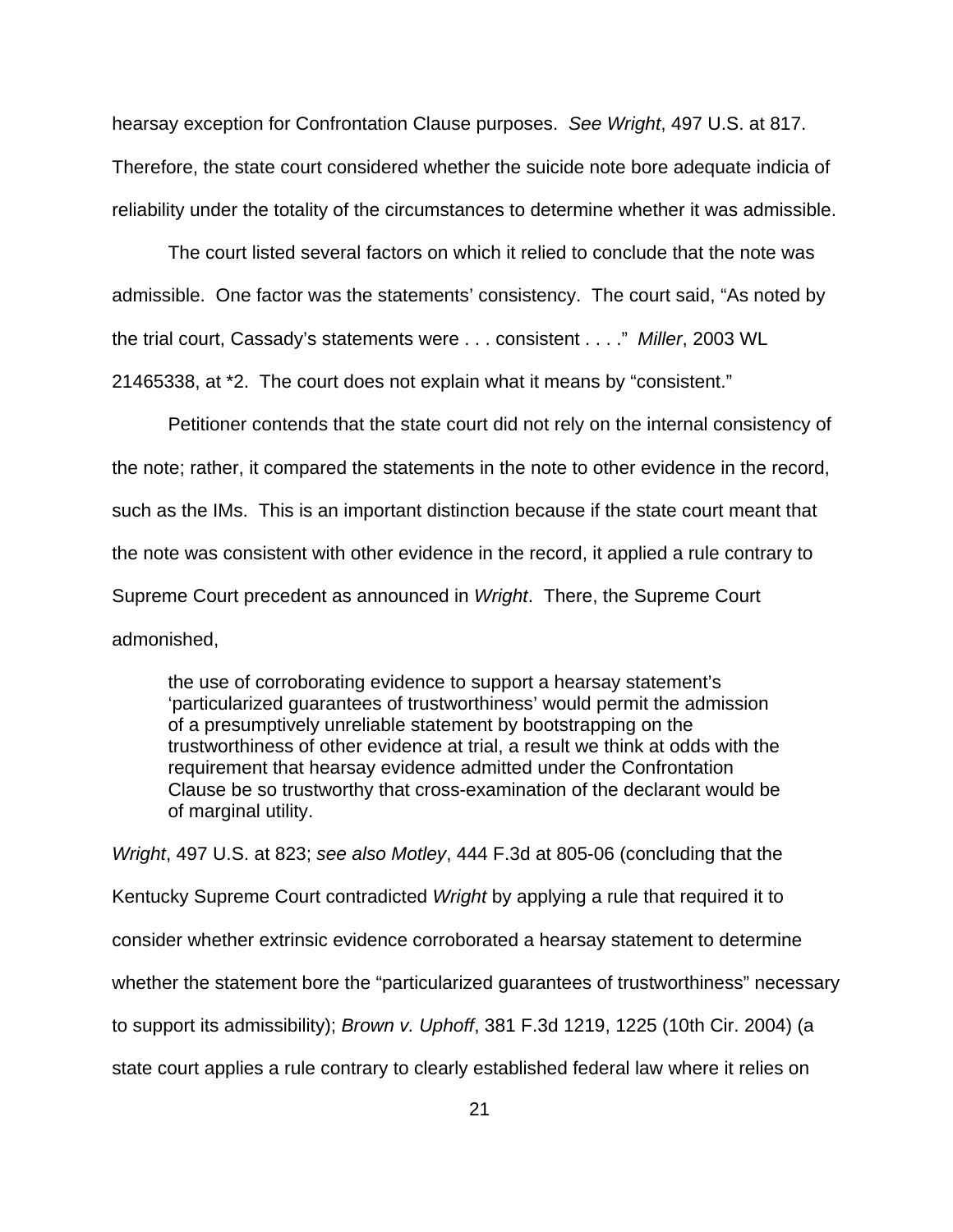hearsay exception for Confrontation Clause purposes. *See Wright*, 497 U.S. at 817. Therefore, the state court considered whether the suicide note bore adequate indicia of reliability under the totality of the circumstances to determine whether it was admissible.

The court listed several factors on which it relied to conclude that the note was admissible. One factor was the statements' consistency. The court said, "As noted by the trial court, Cassady's statements were . . . consistent . . . ." *Miller*, 2003 WL 21465338, at \*2. The court does not explain what it means by "consistent."

Petitioner contends that the state court did not rely on the internal consistency of the note; rather, it compared the statements in the note to other evidence in the record, such as the IMs. This is an important distinction because if the state court meant that the note was consistent with other evidence in the record, it applied a rule contrary to Supreme Court precedent as announced in *Wright*. There, the Supreme Court admonished,

the use of corroborating evidence to support a hearsay statement's 'particularized guarantees of trustworthiness' would permit the admission of a presumptively unreliable statement by bootstrapping on the trustworthiness of other evidence at trial, a result we think at odds with the requirement that hearsay evidence admitted under the Confrontation Clause be so trustworthy that cross-examination of the declarant would be of marginal utility.

*Wright*, 497 U.S. at 823; *see also Motley*, 444 F.3d at 805-06 (concluding that the Kentucky Supreme Court contradicted *Wright* by applying a rule that required it to consider whether extrinsic evidence corroborated a hearsay statement to determine whether the statement bore the "particularized guarantees of trustworthiness" necessary to support its admissibility); *Brown v. Uphoff*, 381 F.3d 1219, 1225 (10th Cir. 2004) (a state court applies a rule contrary to clearly established federal law where it relies on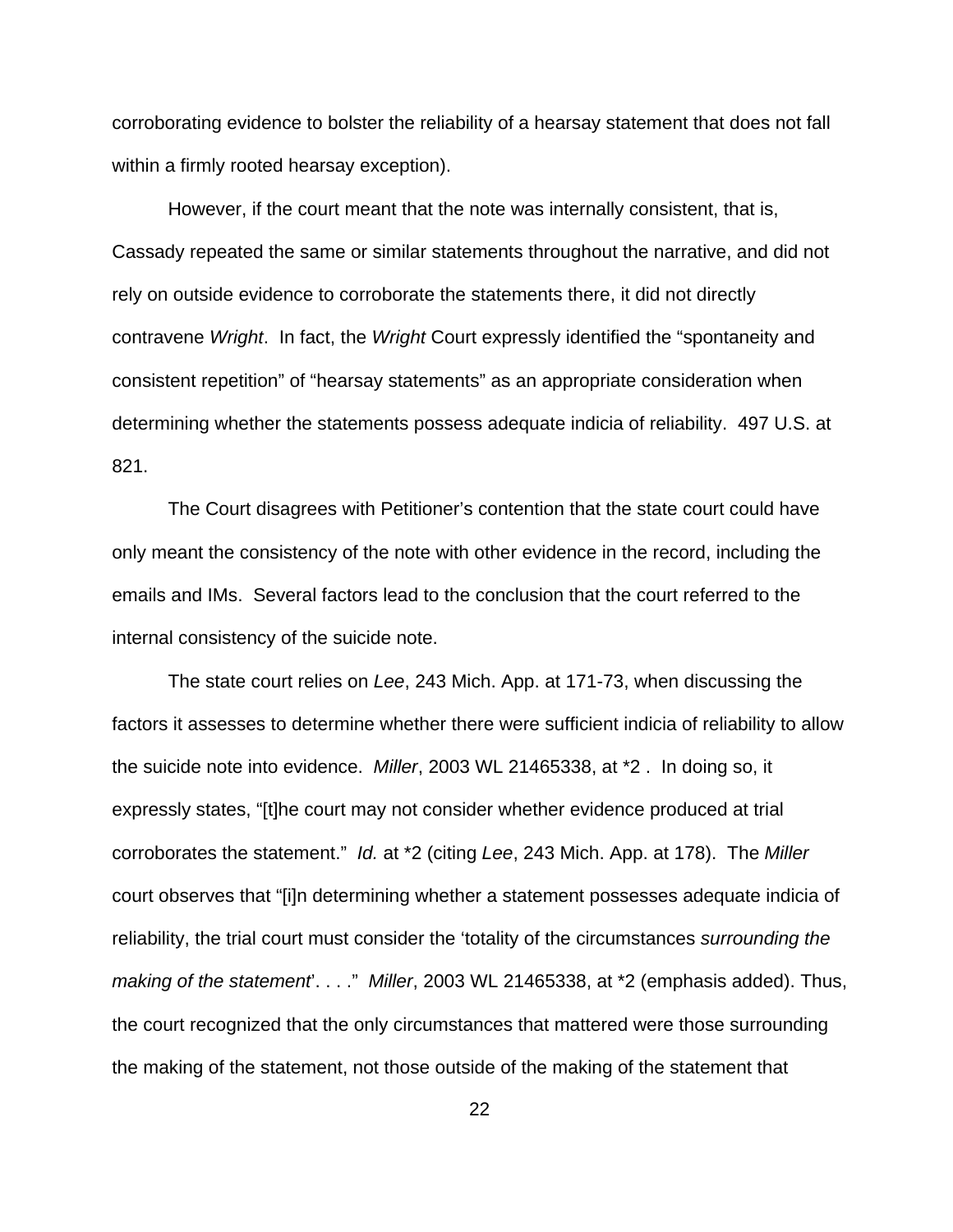corroborating evidence to bolster the reliability of a hearsay statement that does not fall within a firmly rooted hearsay exception).

However, if the court meant that the note was internally consistent, that is, Cassady repeated the same or similar statements throughout the narrative, and did not rely on outside evidence to corroborate the statements there, it did not directly contravene *Wright*. In fact, the *Wright* Court expressly identified the "spontaneity and consistent repetition" of "hearsay statements" as an appropriate consideration when determining whether the statements possess adequate indicia of reliability. 497 U.S. at 821.

The Court disagrees with Petitioner's contention that the state court could have only meant the consistency of the note with other evidence in the record, including the emails and IMs. Several factors lead to the conclusion that the court referred to the internal consistency of the suicide note.

The state court relies on *Lee*, 243 Mich. App. at 171-73, when discussing the factors it assesses to determine whether there were sufficient indicia of reliability to allow the suicide note into evidence. *Miller*, 2003 WL 21465338, at \*2 . In doing so, it expressly states, "[t]he court may not consider whether evidence produced at trial corroborates the statement." *Id.* at \*2 (citing *Lee*, 243 Mich. App. at 178). The *Miller* court observes that "[i]n determining whether a statement possesses adequate indicia of reliability, the trial court must consider the 'totality of the circumstances *surrounding the making of the statement*'. . . ." *Miller*, 2003 WL 21465338, at \*2 (emphasis added). Thus, the court recognized that the only circumstances that mattered were those surrounding the making of the statement, not those outside of the making of the statement that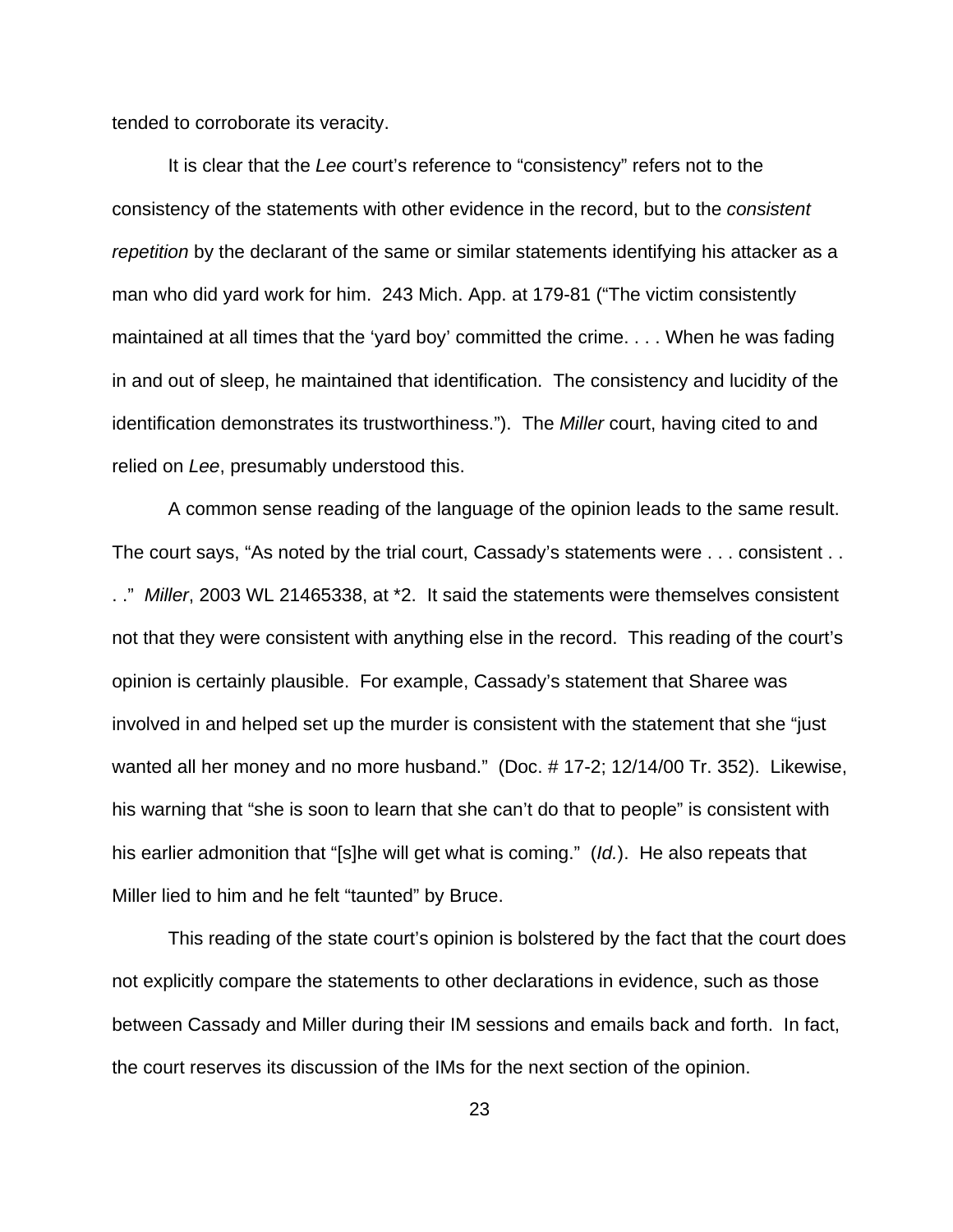tended to corroborate its veracity.

It is clear that the *Lee* court's reference to "consistency" refers not to the consistency of the statements with other evidence in the record, but to the *consistent repetition* by the declarant of the same or similar statements identifying his attacker as a man who did yard work for him. 243 Mich. App. at 179-81 ("The victim consistently maintained at all times that the 'yard boy' committed the crime. . . . When he was fading in and out of sleep, he maintained that identification. The consistency and lucidity of the identification demonstrates its trustworthiness."). The *Miller* court, having cited to and relied on *Lee*, presumably understood this.

A common sense reading of the language of the opinion leads to the same result. The court says, "As noted by the trial court, Cassady's statements were . . . consistent . . . ." *Miller*, 2003 WL 21465338, at \*2. It said the statements were themselves consistent not that they were consistent with anything else in the record. This reading of the court's opinion is certainly plausible. For example, Cassady's statement that Sharee was involved in and helped set up the murder is consistent with the statement that she "just wanted all her money and no more husband." (Doc. # 17-2; 12/14/00 Tr. 352). Likewise, his warning that "she is soon to learn that she can't do that to people" is consistent with his earlier admonition that "[s]he will get what is coming." (*Id.*). He also repeats that Miller lied to him and he felt "taunted" by Bruce.

This reading of the state court's opinion is bolstered by the fact that the court does not explicitly compare the statements to other declarations in evidence, such as those between Cassady and Miller during their IM sessions and emails back and forth. In fact, the court reserves its discussion of the IMs for the next section of the opinion.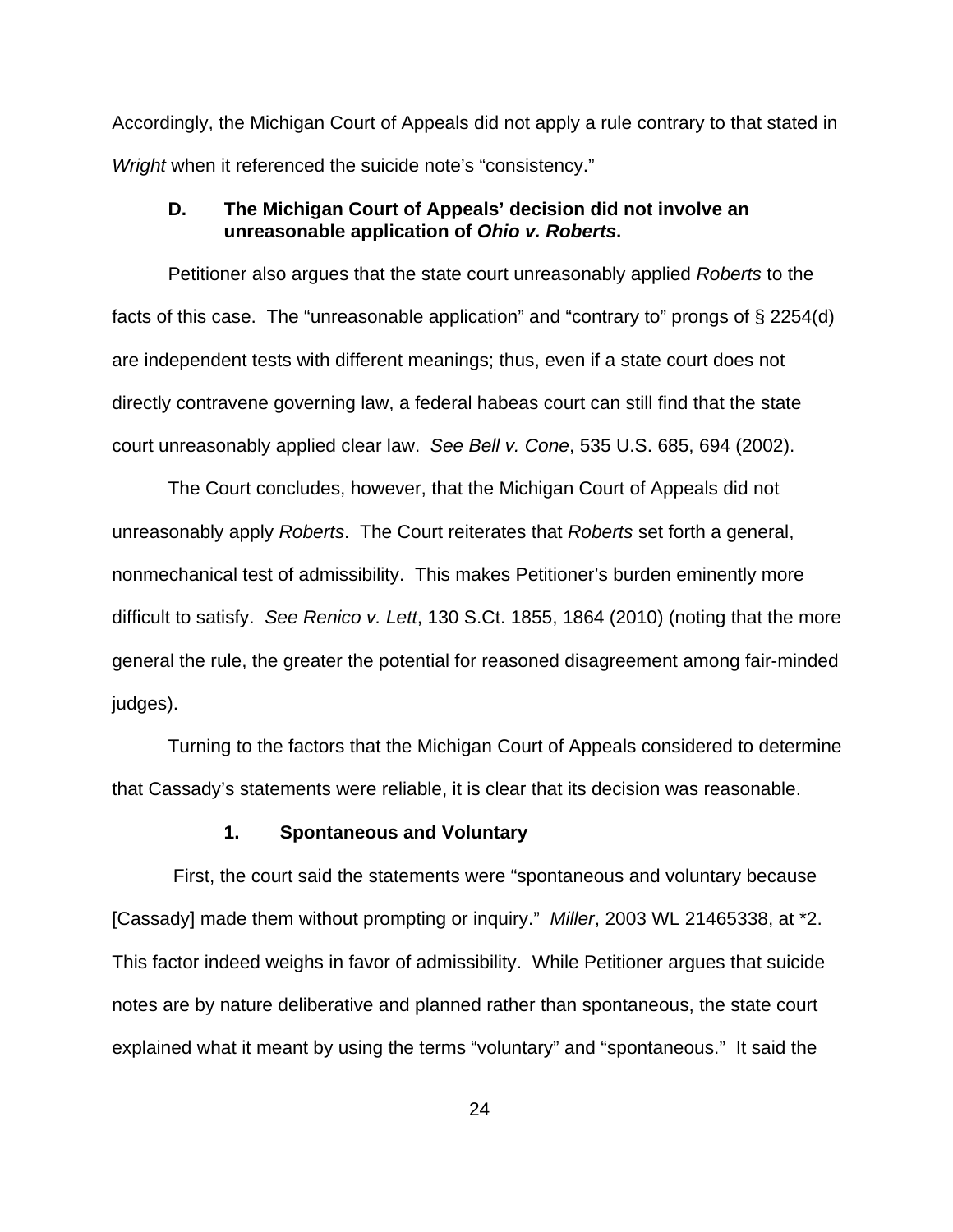Accordingly, the Michigan Court of Appeals did not apply a rule contrary to that stated in *Wright* when it referenced the suicide note's "consistency."

# **D. The Michigan Court of Appeals' decision did not involve an unreasonable application of** *Ohio v. Roberts***.**

Petitioner also argues that the state court unreasonably applied *Roberts* to the facts of this case. The "unreasonable application" and "contrary to" prongs of § 2254(d) are independent tests with different meanings; thus, even if a state court does not directly contravene governing law, a federal habeas court can still find that the state court unreasonably applied clear law. *See Bell v. Cone*, 535 U.S. 685, 694 (2002).

The Court concludes, however, that the Michigan Court of Appeals did not unreasonably apply *Roberts*. The Court reiterates that *Roberts* set forth a general, nonmechanical test of admissibility. This makes Petitioner's burden eminently more difficult to satisfy. *See Renico v. Lett*, 130 S.Ct. 1855, 1864 (2010) (noting that the more general the rule, the greater the potential for reasoned disagreement among fair-minded judges).

Turning to the factors that the Michigan Court of Appeals considered to determine that Cassady's statements were reliable, it is clear that its decision was reasonable.

### **1. Spontaneous and Voluntary**

 First, the court said the statements were "spontaneous and voluntary because [Cassady] made them without prompting or inquiry." *Miller*, 2003 WL 21465338, at \*2. This factor indeed weighs in favor of admissibility. While Petitioner argues that suicide notes are by nature deliberative and planned rather than spontaneous, the state court explained what it meant by using the terms "voluntary" and "spontaneous." It said the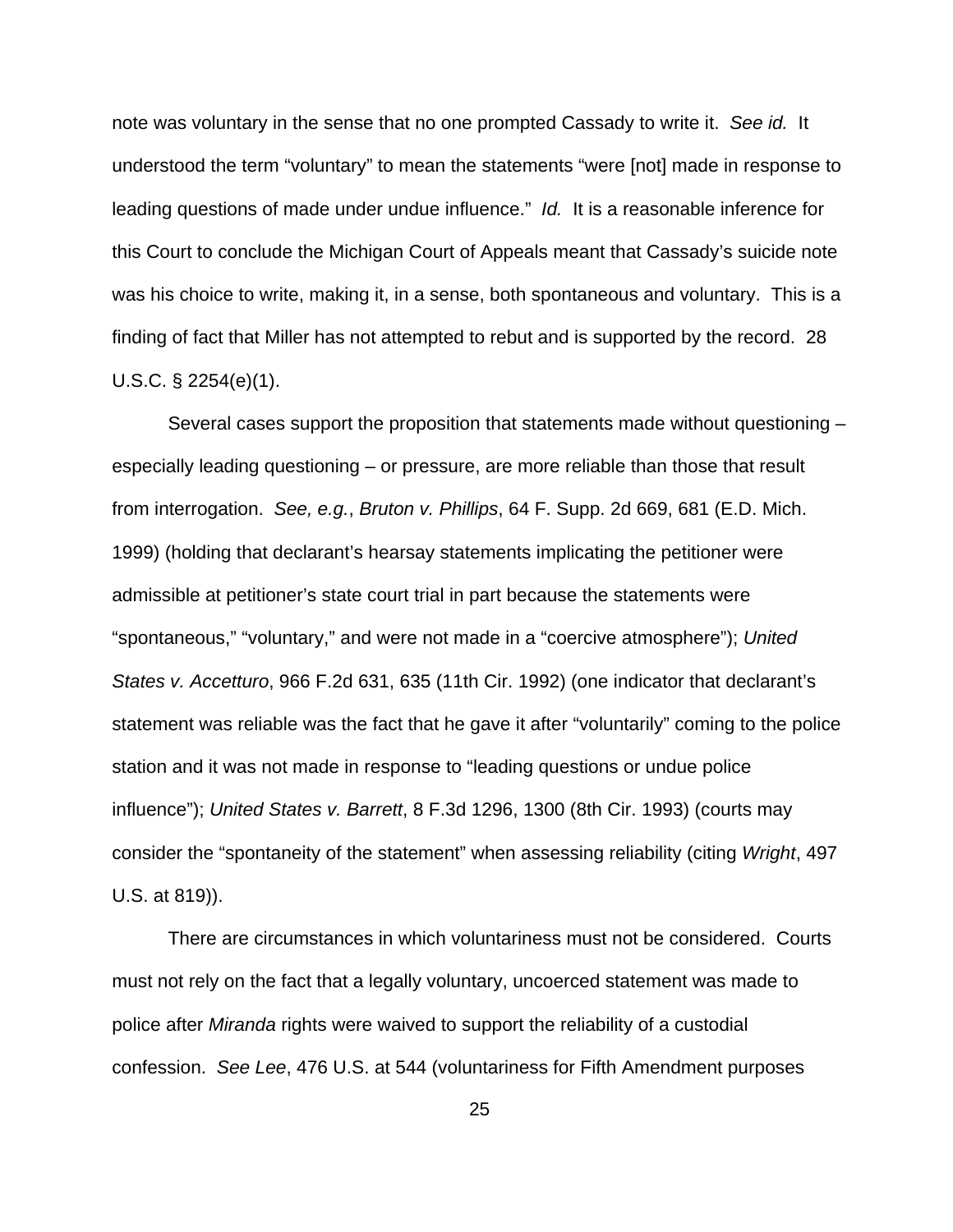note was voluntary in the sense that no one prompted Cassady to write it. *See id.* It understood the term "voluntary" to mean the statements "were [not] made in response to leading questions of made under undue influence." *Id.* It is a reasonable inference for this Court to conclude the Michigan Court of Appeals meant that Cassady's suicide note was his choice to write, making it, in a sense, both spontaneous and voluntary. This is a finding of fact that Miller has not attempted to rebut and is supported by the record. 28 U.S.C. § 2254(e)(1).

Several cases support the proposition that statements made without questioning – especially leading questioning – or pressure, are more reliable than those that result from interrogation. *See, e.g.*, *Bruton v. Phillips*, 64 F. Supp. 2d 669, 681 (E.D. Mich. 1999) (holding that declarant's hearsay statements implicating the petitioner were admissible at petitioner's state court trial in part because the statements were "spontaneous," "voluntary," and were not made in a "coercive atmosphere"); *United States v. Accetturo*, 966 F.2d 631, 635 (11th Cir. 1992) (one indicator that declarant's statement was reliable was the fact that he gave it after "voluntarily" coming to the police station and it was not made in response to "leading questions or undue police influence"); *United States v. Barrett*, 8 F.3d 1296, 1300 (8th Cir. 1993) (courts may consider the "spontaneity of the statement" when assessing reliability (citing *Wright*, 497 U.S. at 819)).

There are circumstances in which voluntariness must not be considered. Courts must not rely on the fact that a legally voluntary, uncoerced statement was made to police after *Miranda* rights were waived to support the reliability of a custodial confession. *See Lee*, 476 U.S. at 544 (voluntariness for Fifth Amendment purposes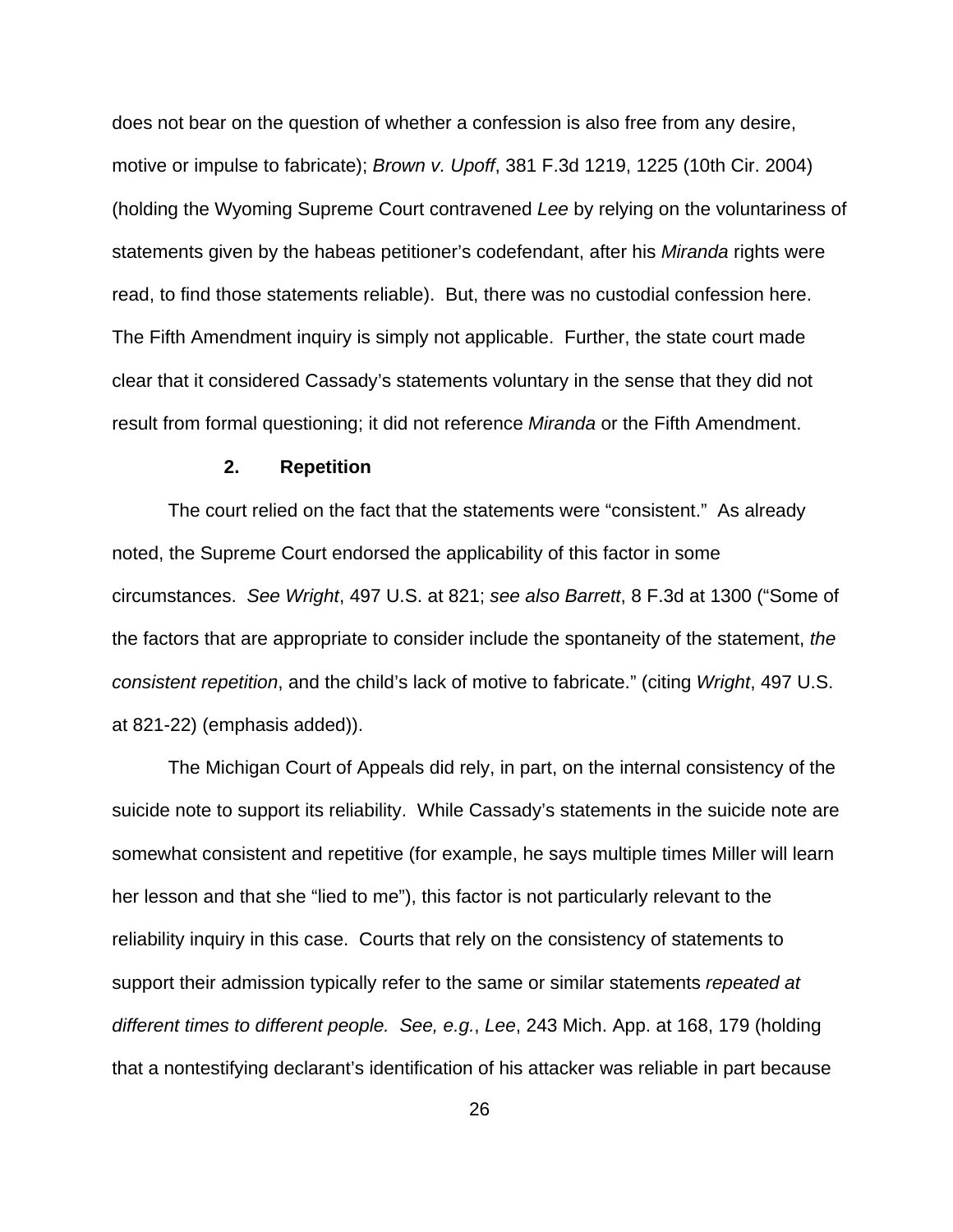does not bear on the question of whether a confession is also free from any desire, motive or impulse to fabricate); *Brown v. Upoff*, 381 F.3d 1219, 1225 (10th Cir. 2004) (holding the Wyoming Supreme Court contravened *Lee* by relying on the voluntariness of statements given by the habeas petitioner's codefendant, after his *Miranda* rights were read, to find those statements reliable). But, there was no custodial confession here. The Fifth Amendment inquiry is simply not applicable. Further, the state court made clear that it considered Cassady's statements voluntary in the sense that they did not result from formal questioning; it did not reference *Miranda* or the Fifth Amendment.

### **2. Repetition**

The court relied on the fact that the statements were "consistent." As already noted, the Supreme Court endorsed the applicability of this factor in some circumstances. *See Wright*, 497 U.S. at 821; *see also Barrett*, 8 F.3d at 1300 ("Some of the factors that are appropriate to consider include the spontaneity of the statement, *the consistent repetition*, and the child's lack of motive to fabricate." (citing *Wright*, 497 U.S. at 821-22) (emphasis added)).

The Michigan Court of Appeals did rely, in part, on the internal consistency of the suicide note to support its reliability. While Cassady's statements in the suicide note are somewhat consistent and repetitive (for example, he says multiple times Miller will learn her lesson and that she "lied to me"), this factor is not particularly relevant to the reliability inquiry in this case. Courts that rely on the consistency of statements to support their admission typically refer to the same or similar statements *repeated at different times to different people. See, e.g.*, *Lee*, 243 Mich. App. at 168, 179 (holding that a nontestifying declarant's identification of his attacker was reliable in part because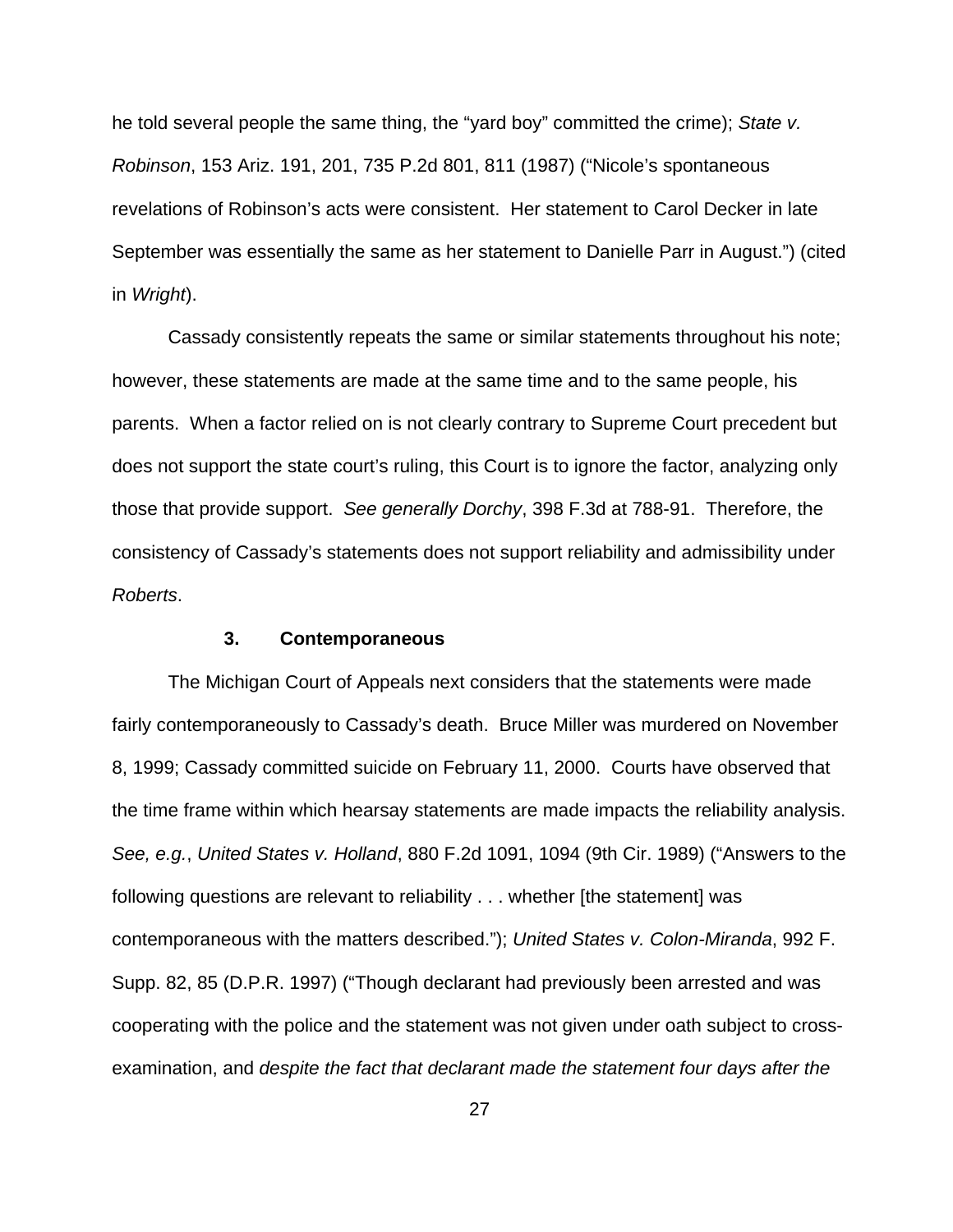he told several people the same thing, the "yard boy" committed the crime); *State v. Robinson*, 153 Ariz. 191, 201, 735 P.2d 801, 811 (1987) ("Nicole's spontaneous revelations of Robinson's acts were consistent. Her statement to Carol Decker in late September was essentially the same as her statement to Danielle Parr in August.") (cited in *Wright*).

Cassady consistently repeats the same or similar statements throughout his note; however, these statements are made at the same time and to the same people, his parents. When a factor relied on is not clearly contrary to Supreme Court precedent but does not support the state court's ruling, this Court is to ignore the factor, analyzing only those that provide support. *See generally Dorchy*, 398 F.3d at 788-91. Therefore, the consistency of Cassady's statements does not support reliability and admissibility under *Roberts*.

### **3. Contemporaneous**

The Michigan Court of Appeals next considers that the statements were made fairly contemporaneously to Cassady's death. Bruce Miller was murdered on November 8, 1999; Cassady committed suicide on February 11, 2000. Courts have observed that the time frame within which hearsay statements are made impacts the reliability analysis. *See, e.g.*, *United States v. Holland*, 880 F.2d 1091, 1094 (9th Cir. 1989) ("Answers to the following questions are relevant to reliability . . . whether [the statement] was contemporaneous with the matters described."); *United States v. Colon-Miranda*, 992 F. Supp. 82, 85 (D.P.R. 1997) ("Though declarant had previously been arrested and was cooperating with the police and the statement was not given under oath subject to crossexamination, and *despite the fact that declarant made the statement four days after the*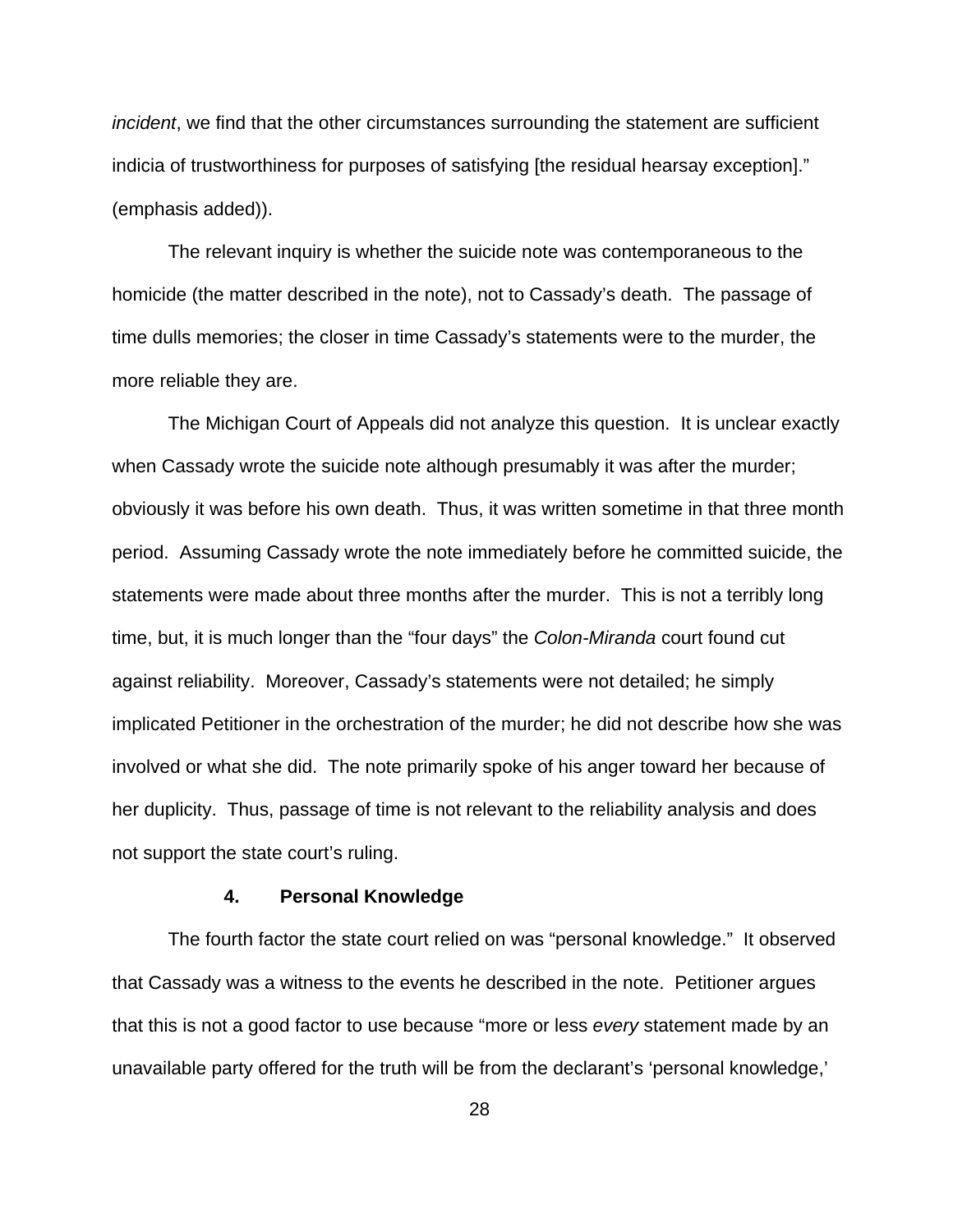*incident*, we find that the other circumstances surrounding the statement are sufficient indicia of trustworthiness for purposes of satisfying [the residual hearsay exception]." (emphasis added)).

The relevant inquiry is whether the suicide note was contemporaneous to the homicide (the matter described in the note), not to Cassady's death. The passage of time dulls memories; the closer in time Cassady's statements were to the murder, the more reliable they are.

The Michigan Court of Appeals did not analyze this question. It is unclear exactly when Cassady wrote the suicide note although presumably it was after the murder; obviously it was before his own death. Thus, it was written sometime in that three month period. Assuming Cassady wrote the note immediately before he committed suicide, the statements were made about three months after the murder. This is not a terribly long time, but, it is much longer than the "four days" the *Colon-Miranda* court found cut against reliability. Moreover, Cassady's statements were not detailed; he simply implicated Petitioner in the orchestration of the murder; he did not describe how she was involved or what she did. The note primarily spoke of his anger toward her because of her duplicity. Thus, passage of time is not relevant to the reliability analysis and does not support the state court's ruling.

#### **4. Personal Knowledge**

The fourth factor the state court relied on was "personal knowledge." It observed that Cassady was a witness to the events he described in the note. Petitioner argues that this is not a good factor to use because "more or less *every* statement made by an unavailable party offered for the truth will be from the declarant's 'personal knowledge,'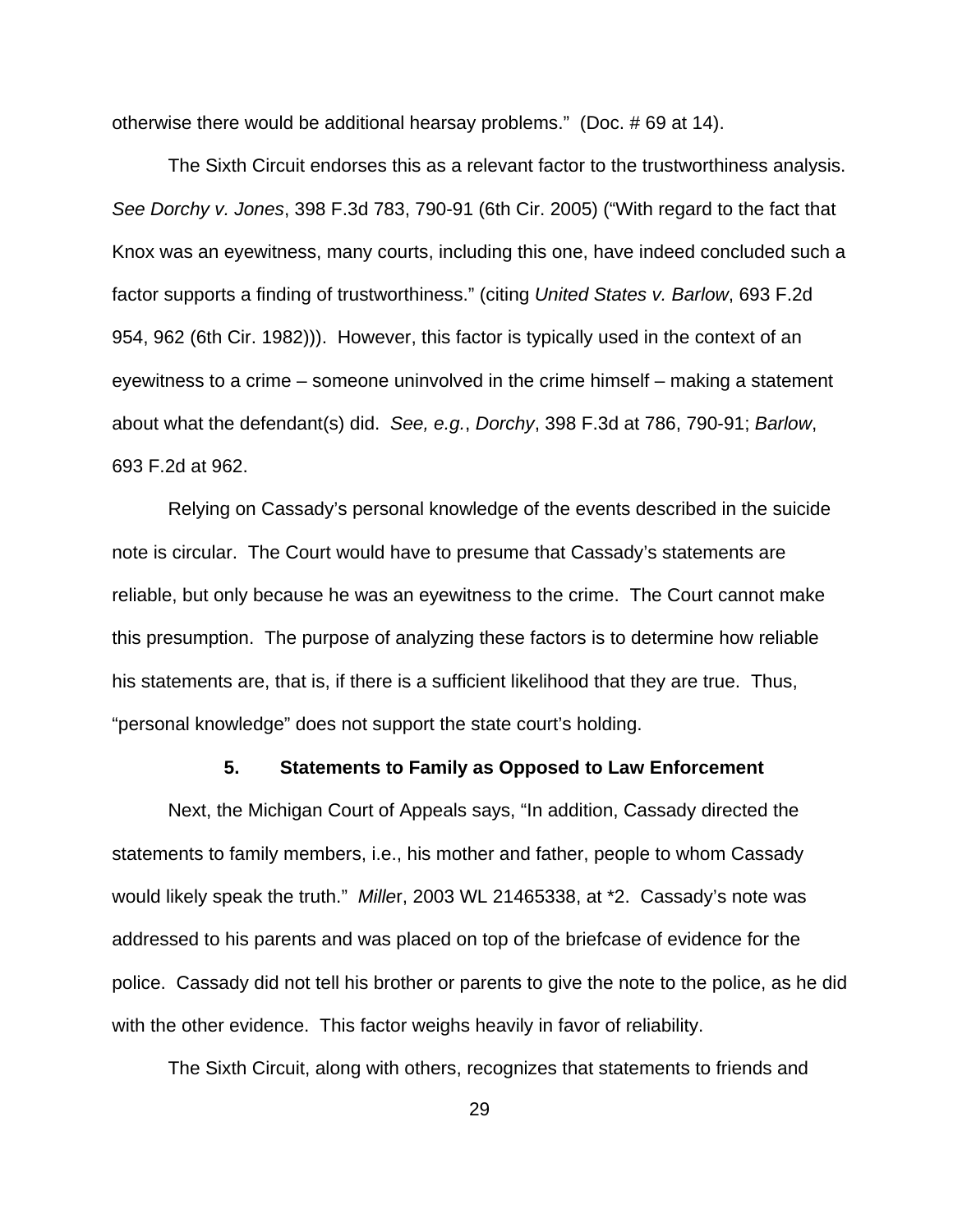otherwise there would be additional hearsay problems." (Doc. # 69 at 14).

The Sixth Circuit endorses this as a relevant factor to the trustworthiness analysis. *See Dorchy v. Jones*, 398 F.3d 783, 790-91 (6th Cir. 2005) ("With regard to the fact that Knox was an eyewitness, many courts, including this one, have indeed concluded such a factor supports a finding of trustworthiness." (citing *United States v. Barlow*, 693 F.2d 954, 962 (6th Cir. 1982))). However, this factor is typically used in the context of an eyewitness to a crime – someone uninvolved in the crime himself – making a statement about what the defendant(s) did. *See, e.g.*, *Dorchy*, 398 F.3d at 786, 790-91; *Barlow*, 693 F.2d at 962.

Relying on Cassady's personal knowledge of the events described in the suicide note is circular. The Court would have to presume that Cassady's statements are reliable, but only because he was an eyewitness to the crime. The Court cannot make this presumption. The purpose of analyzing these factors is to determine how reliable his statements are, that is, if there is a sufficient likelihood that they are true. Thus, "personal knowledge" does not support the state court's holding.

#### **5. Statements to Family as Opposed to Law Enforcement**

Next, the Michigan Court of Appeals says, "In addition, Cassady directed the statements to family members, i.e., his mother and father, people to whom Cassady would likely speak the truth." *Mille*r, 2003 WL 21465338, at \*2. Cassady's note was addressed to his parents and was placed on top of the briefcase of evidence for the police. Cassady did not tell his brother or parents to give the note to the police, as he did with the other evidence. This factor weighs heavily in favor of reliability.

The Sixth Circuit, along with others, recognizes that statements to friends and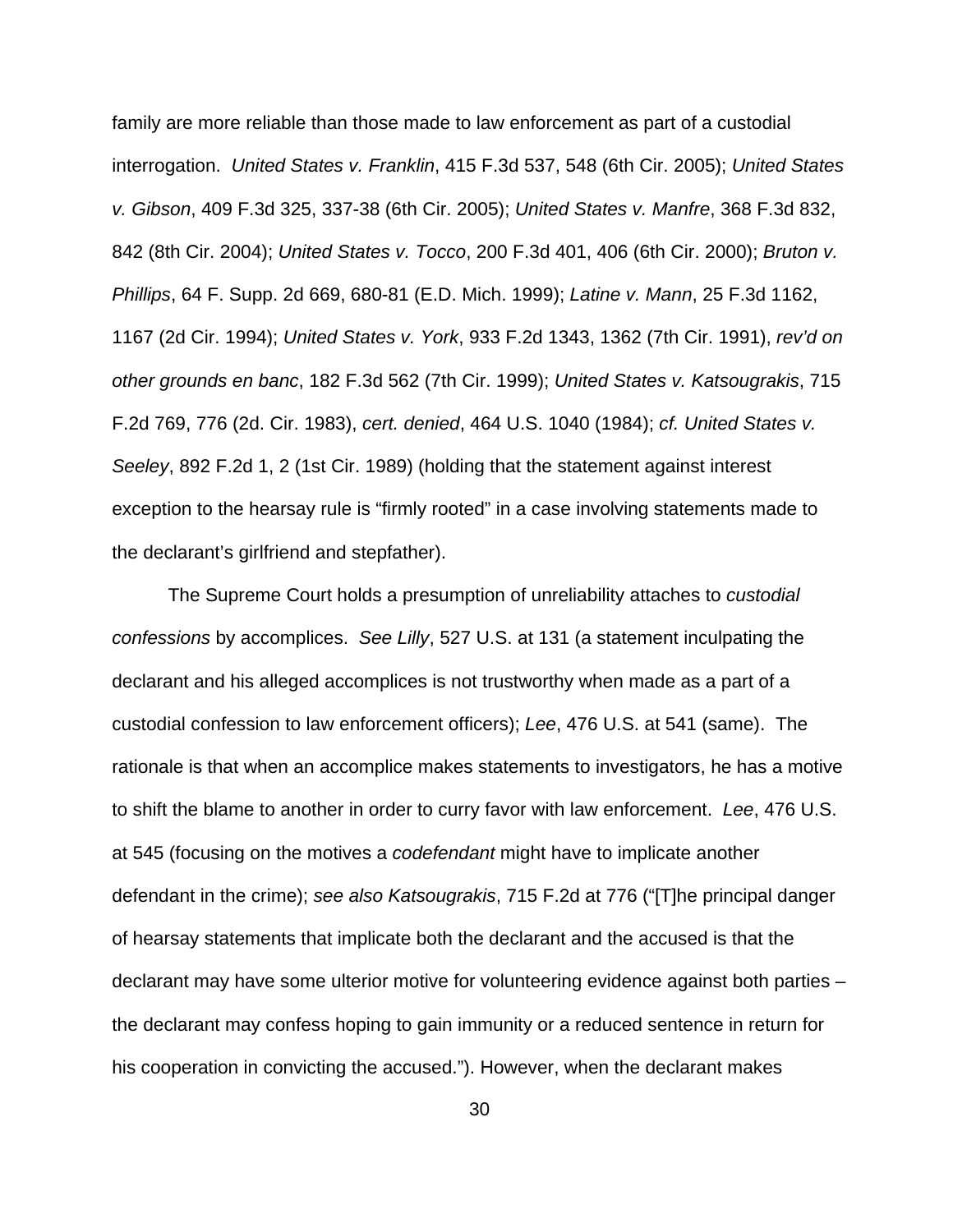family are more reliable than those made to law enforcement as part of a custodial interrogation. *United States v. Franklin*, 415 F.3d 537, 548 (6th Cir. 2005); *United States v. Gibson*, 409 F.3d 325, 337-38 (6th Cir. 2005); *United States v. Manfre*, 368 F.3d 832, 842 (8th Cir. 2004); *United States v. Tocco*, 200 F.3d 401, 406 (6th Cir. 2000); *Bruton v. Phillips*, 64 F. Supp. 2d 669, 680-81 (E.D. Mich. 1999); *Latine v. Mann*, 25 F.3d 1162, 1167 (2d Cir. 1994); *United States v. York*, 933 F.2d 1343, 1362 (7th Cir. 1991), *rev'd on other grounds en banc*, 182 F.3d 562 (7th Cir. 1999); *United States v. Katsougrakis*, 715 F.2d 769, 776 (2d. Cir. 1983), *cert. denied*, 464 U.S. 1040 (1984); *cf. United States v. Seeley*, 892 F.2d 1, 2 (1st Cir. 1989) (holding that the statement against interest exception to the hearsay rule is "firmly rooted" in a case involving statements made to the declarant's girlfriend and stepfather).

The Supreme Court holds a presumption of unreliability attaches to *custodial confessions* by accomplices. *See Lilly*, 527 U.S. at 131 (a statement inculpating the declarant and his alleged accomplices is not trustworthy when made as a part of a custodial confession to law enforcement officers); *Lee*, 476 U.S. at 541 (same). The rationale is that when an accomplice makes statements to investigators, he has a motive to shift the blame to another in order to curry favor with law enforcement. *Lee*, 476 U.S. at 545 (focusing on the motives a *codefendant* might have to implicate another defendant in the crime); *see also Katsougrakis*, 715 F.2d at 776 ("[T]he principal danger of hearsay statements that implicate both the declarant and the accused is that the declarant may have some ulterior motive for volunteering evidence against both parties – the declarant may confess hoping to gain immunity or a reduced sentence in return for his cooperation in convicting the accused."). However, when the declarant makes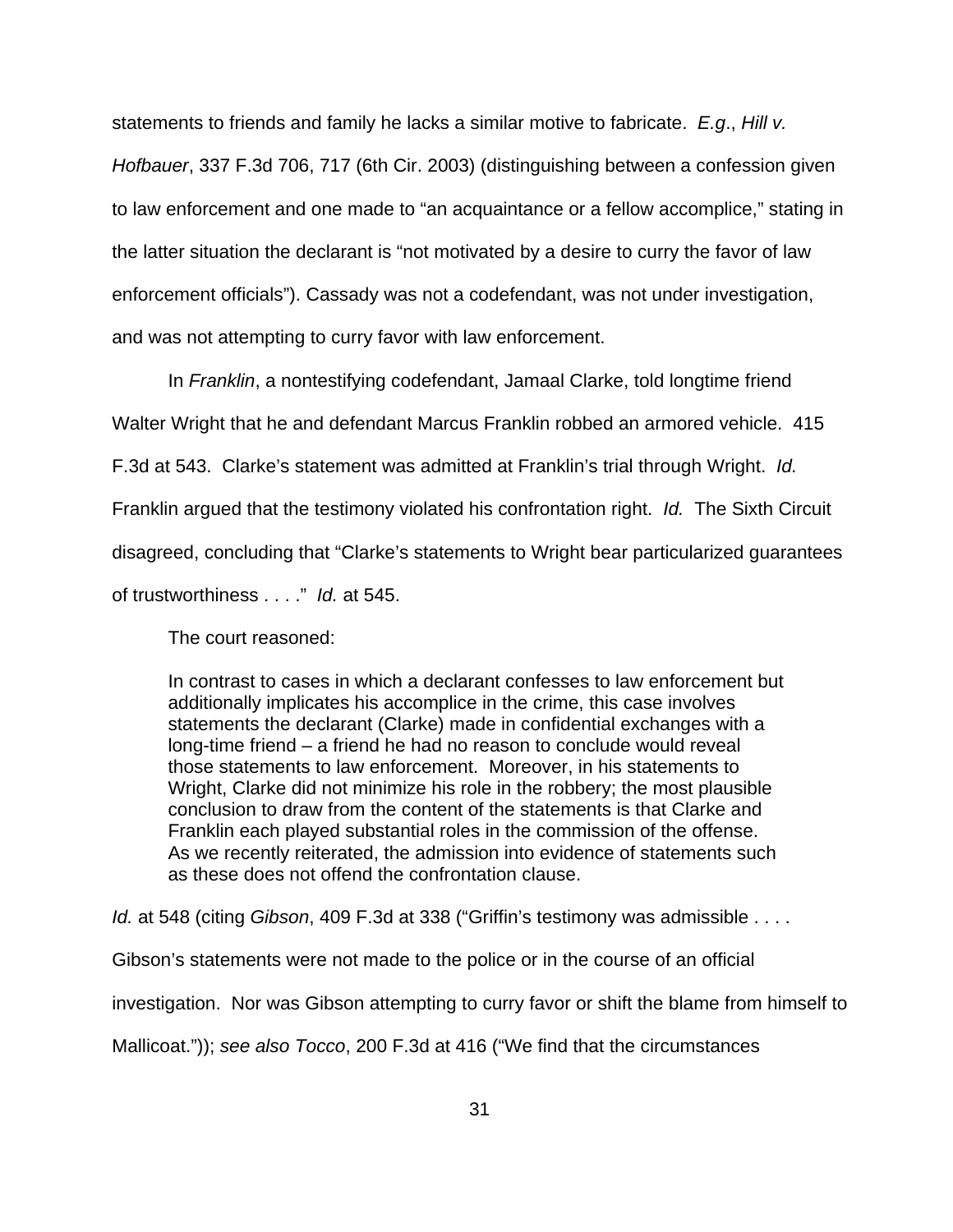statements to friends and family he lacks a similar motive to fabricate. *E.g*., *Hill v. Hofbauer*, 337 F.3d 706, 717 (6th Cir. 2003) (distinguishing between a confession given to law enforcement and one made to "an acquaintance or a fellow accomplice," stating in the latter situation the declarant is "not motivated by a desire to curry the favor of law enforcement officials"). Cassady was not a codefendant, was not under investigation, and was not attempting to curry favor with law enforcement.

In *Franklin*, a nontestifying codefendant, Jamaal Clarke, told longtime friend Walter Wright that he and defendant Marcus Franklin robbed an armored vehicle. 415 F.3d at 543. Clarke's statement was admitted at Franklin's trial through Wright. *Id.*  Franklin argued that the testimony violated his confrontation right. *Id.* The Sixth Circuit disagreed, concluding that "Clarke's statements to Wright bear particularized guarantees of trustworthiness . . . ." *Id.* at 545.

The court reasoned:

In contrast to cases in which a declarant confesses to law enforcement but additionally implicates his accomplice in the crime, this case involves statements the declarant (Clarke) made in confidential exchanges with a long-time friend – a friend he had no reason to conclude would reveal those statements to law enforcement. Moreover, in his statements to Wright, Clarke did not minimize his role in the robbery; the most plausible conclusion to draw from the content of the statements is that Clarke and Franklin each played substantial roles in the commission of the offense. As we recently reiterated, the admission into evidence of statements such as these does not offend the confrontation clause.

*Id.* at 548 (citing *Gibson*, 409 F.3d at 338 ("Griffin's testimony was admissible . . . .

Gibson's statements were not made to the police or in the course of an official

investigation. Nor was Gibson attempting to curry favor or shift the blame from himself to

Mallicoat.")); *see also Tocco*, 200 F.3d at 416 ("We find that the circumstances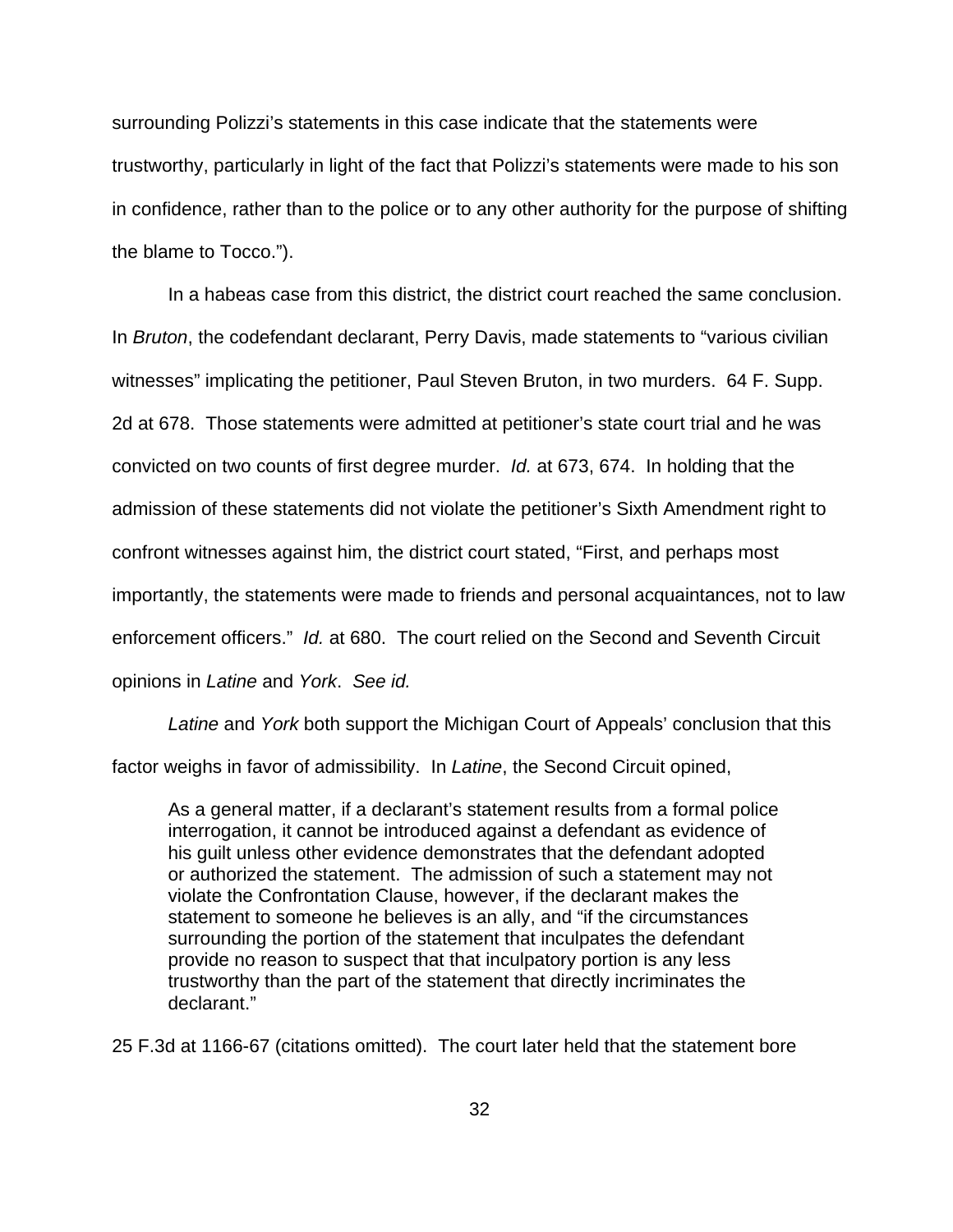surrounding Polizzi's statements in this case indicate that the statements were trustworthy, particularly in light of the fact that Polizzi's statements were made to his son in confidence, rather than to the police or to any other authority for the purpose of shifting the blame to Tocco.").

In a habeas case from this district, the district court reached the same conclusion. In *Bruton*, the codefendant declarant, Perry Davis, made statements to "various civilian witnesses" implicating the petitioner, Paul Steven Bruton, in two murders. 64 F. Supp. 2d at 678. Those statements were admitted at petitioner's state court trial and he was convicted on two counts of first degree murder. *Id.* at 673, 674. In holding that the admission of these statements did not violate the petitioner's Sixth Amendment right to confront witnesses against him, the district court stated, "First, and perhaps most importantly, the statements were made to friends and personal acquaintances, not to law enforcement officers." *Id.* at 680. The court relied on the Second and Seventh Circuit opinions in *Latine* and *York*. *See id.* 

*Latine* and *York* both support the Michigan Court of Appeals' conclusion that this factor weighs in favor of admissibility. In *Latine*, the Second Circuit opined,

As a general matter, if a declarant's statement results from a formal police interrogation, it cannot be introduced against a defendant as evidence of his guilt unless other evidence demonstrates that the defendant adopted or authorized the statement. The admission of such a statement may not violate the Confrontation Clause, however, if the declarant makes the statement to someone he believes is an ally, and "if the circumstances surrounding the portion of the statement that inculpates the defendant provide no reason to suspect that that inculpatory portion is any less trustworthy than the part of the statement that directly incriminates the declarant."

25 F.3d at 1166-67 (citations omitted). The court later held that the statement bore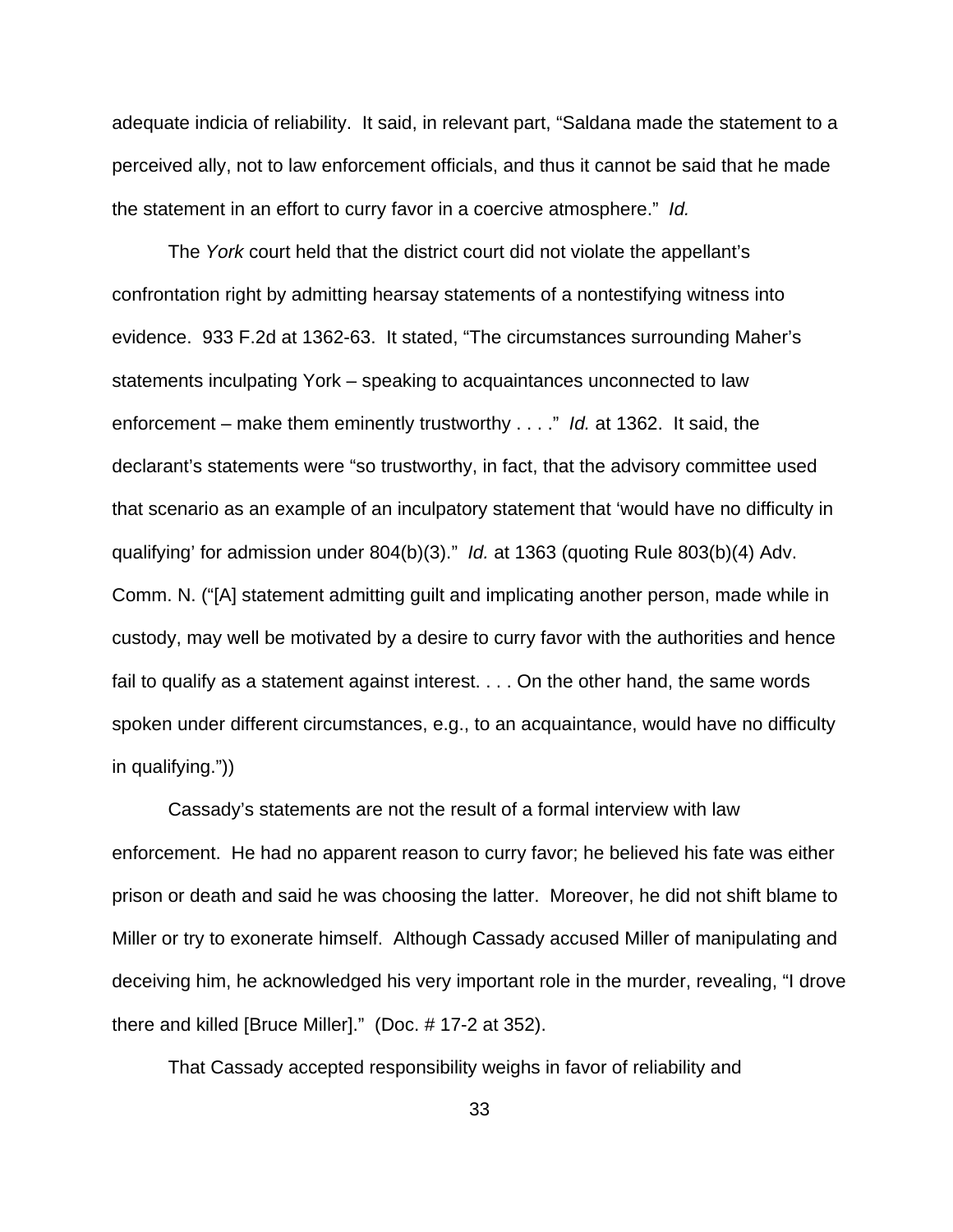adequate indicia of reliability. It said, in relevant part, "Saldana made the statement to a perceived ally, not to law enforcement officials, and thus it cannot be said that he made the statement in an effort to curry favor in a coercive atmosphere." *Id.*

The *York* court held that the district court did not violate the appellant's confrontation right by admitting hearsay statements of a nontestifying witness into evidence. 933 F.2d at 1362-63. It stated, "The circumstances surrounding Maher's statements inculpating York – speaking to acquaintances unconnected to law enforcement – make them eminently trustworthy . . . ." *Id.* at 1362. It said, the declarant's statements were "so trustworthy, in fact, that the advisory committee used that scenario as an example of an inculpatory statement that 'would have no difficulty in qualifying' for admission under 804(b)(3)." *Id.* at 1363 (quoting Rule 803(b)(4) Adv. Comm. N. ("[A] statement admitting guilt and implicating another person, made while in custody, may well be motivated by a desire to curry favor with the authorities and hence fail to qualify as a statement against interest. . . . On the other hand, the same words spoken under different circumstances, e.g., to an acquaintance, would have no difficulty in qualifying."))

Cassady's statements are not the result of a formal interview with law enforcement. He had no apparent reason to curry favor; he believed his fate was either prison or death and said he was choosing the latter. Moreover, he did not shift blame to Miller or try to exonerate himself. Although Cassady accused Miller of manipulating and deceiving him, he acknowledged his very important role in the murder, revealing, "I drove there and killed [Bruce Miller]." (Doc. # 17-2 at 352).

That Cassady accepted responsibility weighs in favor of reliability and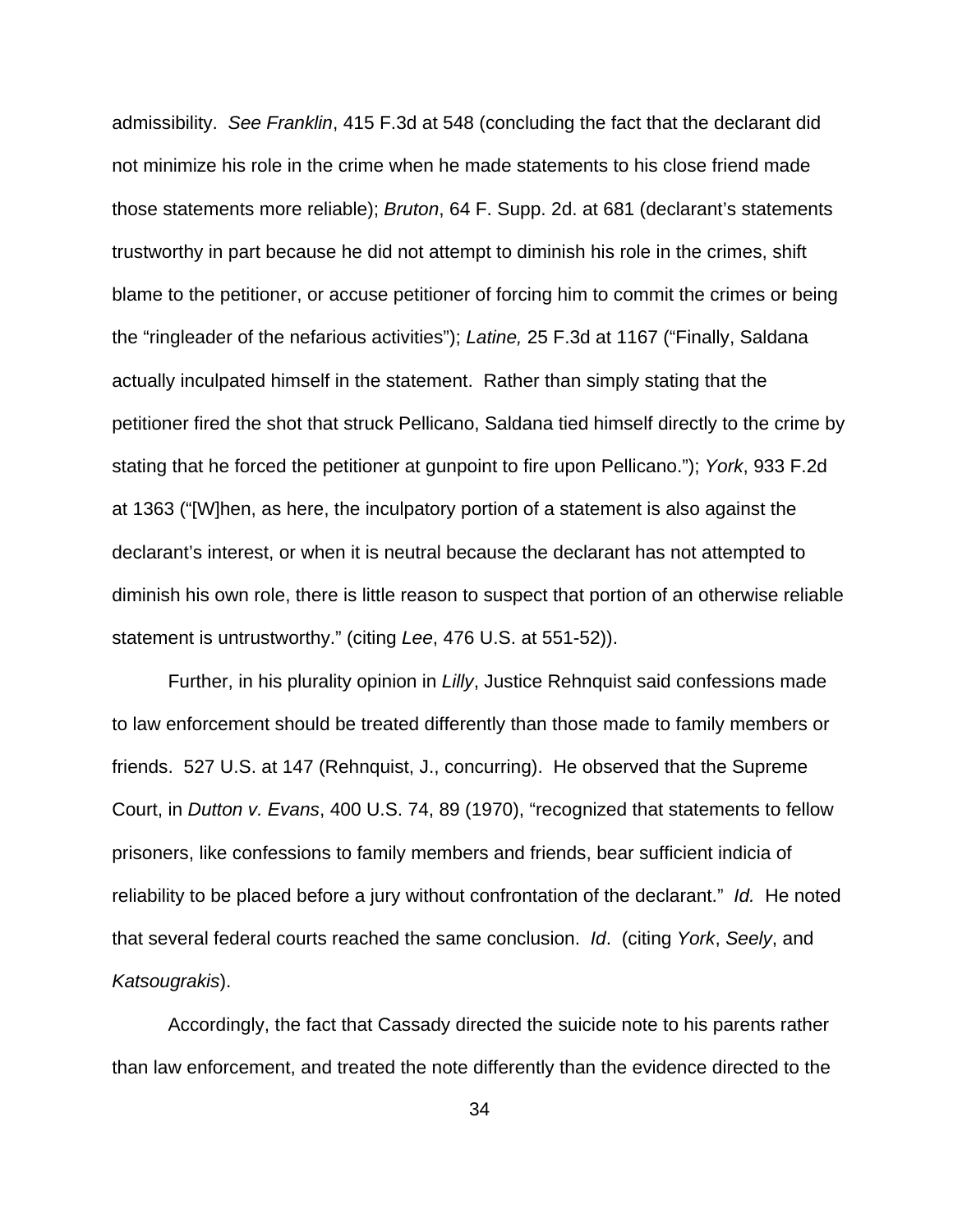admissibility. *See Franklin*, 415 F.3d at 548 (concluding the fact that the declarant did not minimize his role in the crime when he made statements to his close friend made those statements more reliable); *Bruton*, 64 F. Supp. 2d. at 681 (declarant's statements trustworthy in part because he did not attempt to diminish his role in the crimes, shift blame to the petitioner, or accuse petitioner of forcing him to commit the crimes or being the "ringleader of the nefarious activities"); *Latine,* 25 F.3d at 1167 ("Finally, Saldana actually inculpated himself in the statement. Rather than simply stating that the petitioner fired the shot that struck Pellicano, Saldana tied himself directly to the crime by stating that he forced the petitioner at gunpoint to fire upon Pellicano."); *York*, 933 F.2d at 1363 ("[W]hen, as here, the inculpatory portion of a statement is also against the declarant's interest, or when it is neutral because the declarant has not attempted to diminish his own role, there is little reason to suspect that portion of an otherwise reliable statement is untrustworthy." (citing *Lee*, 476 U.S. at 551-52)).

Further, in his plurality opinion in *Lilly*, Justice Rehnquist said confessions made to law enforcement should be treated differently than those made to family members or friends. 527 U.S. at 147 (Rehnquist, J., concurring). He observed that the Supreme Court, in *Dutton v. Evans*, 400 U.S. 74, 89 (1970), "recognized that statements to fellow prisoners, like confessions to family members and friends, bear sufficient indicia of reliability to be placed before a jury without confrontation of the declarant." *Id.* He noted that several federal courts reached the same conclusion. *Id*. (citing *York*, *Seely*, and *Katsougrakis*).

Accordingly, the fact that Cassady directed the suicide note to his parents rather than law enforcement, and treated the note differently than the evidence directed to the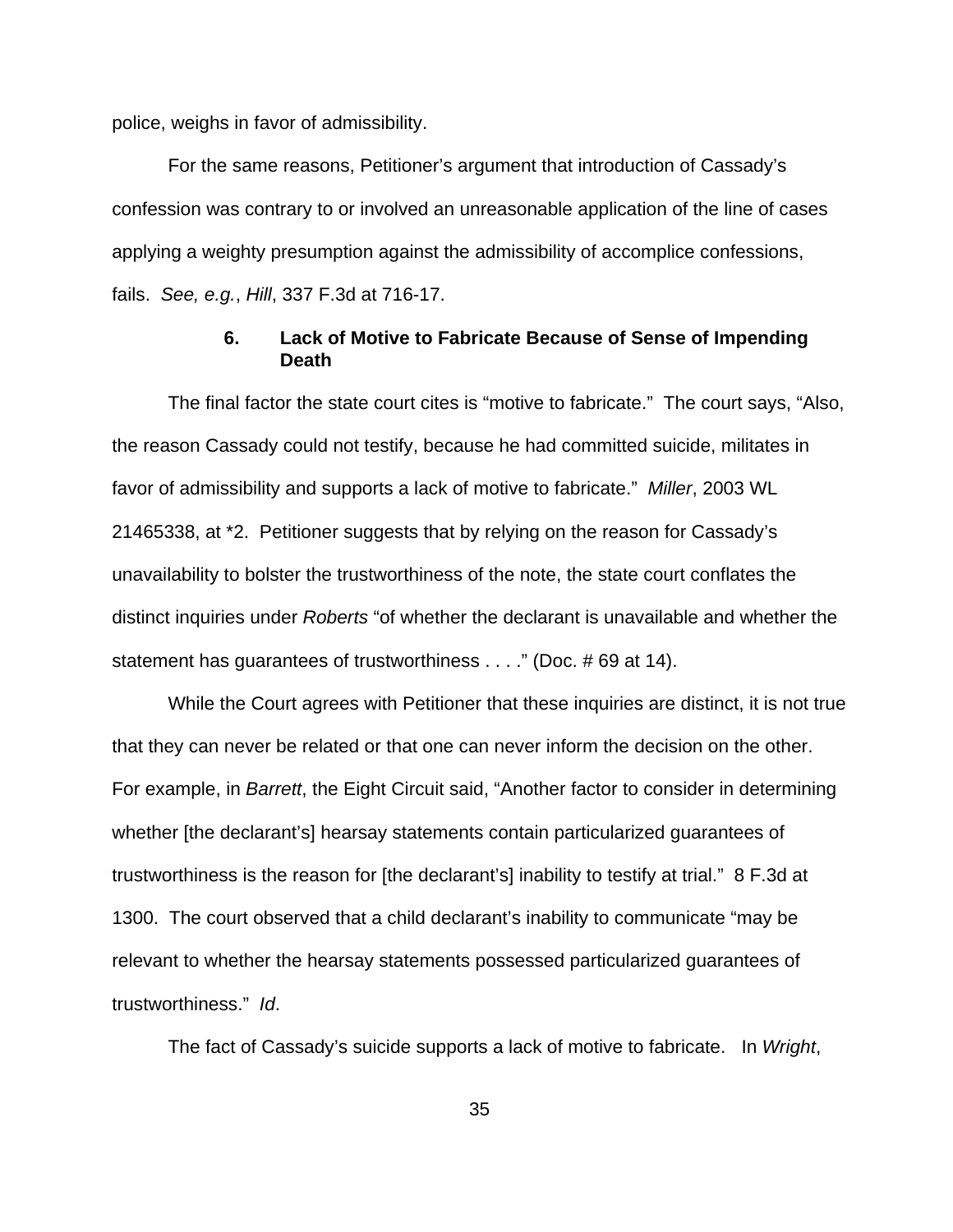police, weighs in favor of admissibility.

For the same reasons, Petitioner's argument that introduction of Cassady's confession was contrary to or involved an unreasonable application of the line of cases applying a weighty presumption against the admissibility of accomplice confessions, fails. *See, e.g.*, *Hill*, 337 F.3d at 716-17.

# **6. Lack of Motive to Fabricate Because of Sense of Impending Death**

The final factor the state court cites is "motive to fabricate." The court says, "Also, the reason Cassady could not testify, because he had committed suicide, militates in favor of admissibility and supports a lack of motive to fabricate." *Miller*, 2003 WL 21465338, at \*2. Petitioner suggests that by relying on the reason for Cassady's unavailability to bolster the trustworthiness of the note, the state court conflates the distinct inquiries under *Roberts* "of whether the declarant is unavailable and whether the statement has guarantees of trustworthiness . . . ." (Doc. # 69 at 14).

While the Court agrees with Petitioner that these inquiries are distinct, it is not true that they can never be related or that one can never inform the decision on the other. For example, in *Barrett*, the Eight Circuit said, "Another factor to consider in determining whether [the declarant's] hearsay statements contain particularized guarantees of trustworthiness is the reason for [the declarant's] inability to testify at trial." 8 F.3d at 1300. The court observed that a child declarant's inability to communicate "may be relevant to whether the hearsay statements possessed particularized guarantees of trustworthiness." *Id*.

The fact of Cassady's suicide supports a lack of motive to fabricate. In *Wright*,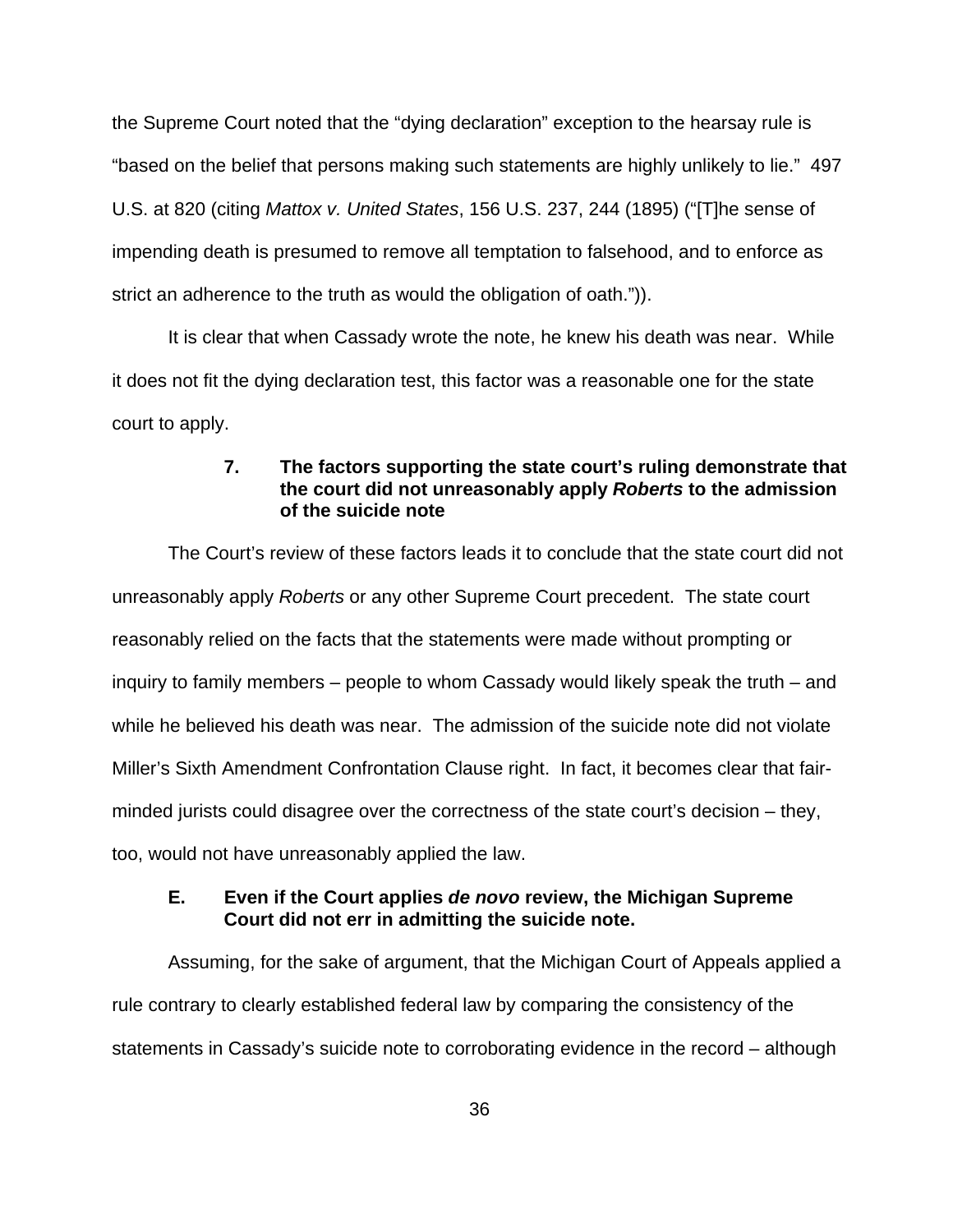the Supreme Court noted that the "dying declaration" exception to the hearsay rule is "based on the belief that persons making such statements are highly unlikely to lie." 497 U.S. at 820 (citing *Mattox v. United States*, 156 U.S. 237, 244 (1895) ("[T]he sense of impending death is presumed to remove all temptation to falsehood, and to enforce as strict an adherence to the truth as would the obligation of oath.")).

It is clear that when Cassady wrote the note, he knew his death was near. While it does not fit the dying declaration test, this factor was a reasonable one for the state court to apply.

# **7. The factors supporting the state court's ruling demonstrate that the court did not unreasonably apply** *Roberts* **to the admission of the suicide note**

The Court's review of these factors leads it to conclude that the state court did not unreasonably apply *Roberts* or any other Supreme Court precedent. The state court reasonably relied on the facts that the statements were made without prompting or inquiry to family members – people to whom Cassady would likely speak the truth – and while he believed his death was near. The admission of the suicide note did not violate Miller's Sixth Amendment Confrontation Clause right. In fact, it becomes clear that fairminded jurists could disagree over the correctness of the state court's decision – they, too, would not have unreasonably applied the law.

# **E. Even if the Court applies** *de novo* **review, the Michigan Supreme Court did not err in admitting the suicide note.**

Assuming, for the sake of argument, that the Michigan Court of Appeals applied a rule contrary to clearly established federal law by comparing the consistency of the statements in Cassady's suicide note to corroborating evidence in the record – although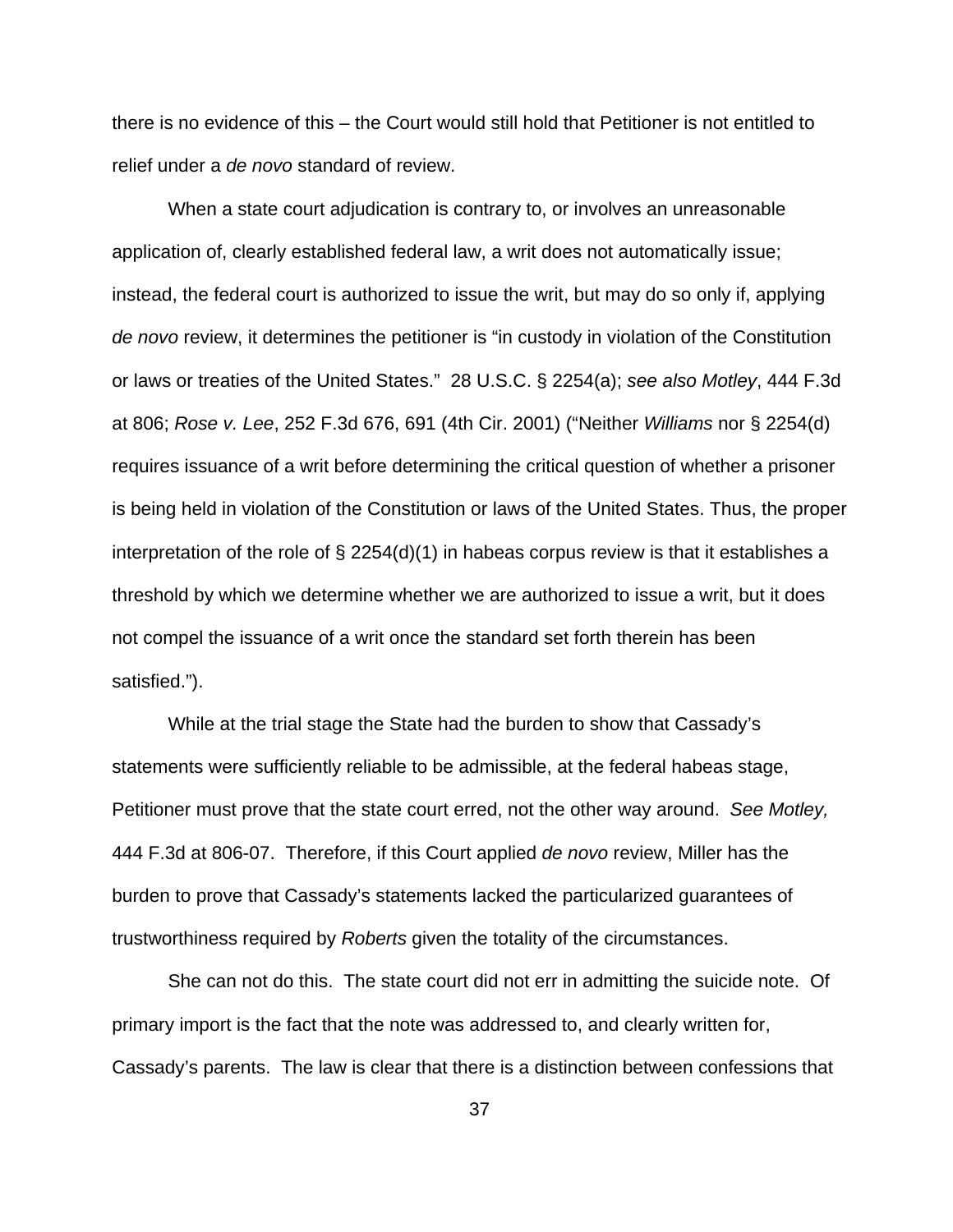there is no evidence of this – the Court would still hold that Petitioner is not entitled to relief under a *de novo* standard of review.

When a state court adjudication is contrary to, or involves an unreasonable application of, clearly established federal law, a writ does not automatically issue; instead, the federal court is authorized to issue the writ, but may do so only if, applying *de novo* review, it determines the petitioner is "in custody in violation of the Constitution or laws or treaties of the United States." 28 U.S.C. § 2254(a); *see also Motley*, 444 F.3d at 806; *Rose v. Lee*, 252 F.3d 676, 691 (4th Cir. 2001) ("Neither *Williams* nor § 2254(d) requires issuance of a writ before determining the critical question of whether a prisoner is being held in violation of the Constitution or laws of the United States. Thus, the proper interpretation of the role of  $\S 2254(d)(1)$  in habeas corpus review is that it establishes a threshold by which we determine whether we are authorized to issue a writ, but it does not compel the issuance of a writ once the standard set forth therein has been satisfied.").

While at the trial stage the State had the burden to show that Cassady's statements were sufficiently reliable to be admissible, at the federal habeas stage, Petitioner must prove that the state court erred, not the other way around. *See Motley,* 444 F.3d at 806-07. Therefore, if this Court applied *de novo* review, Miller has the burden to prove that Cassady's statements lacked the particularized guarantees of trustworthiness required by *Roberts* given the totality of the circumstances.

She can not do this. The state court did not err in admitting the suicide note. Of primary import is the fact that the note was addressed to, and clearly written for, Cassady's parents. The law is clear that there is a distinction between confessions that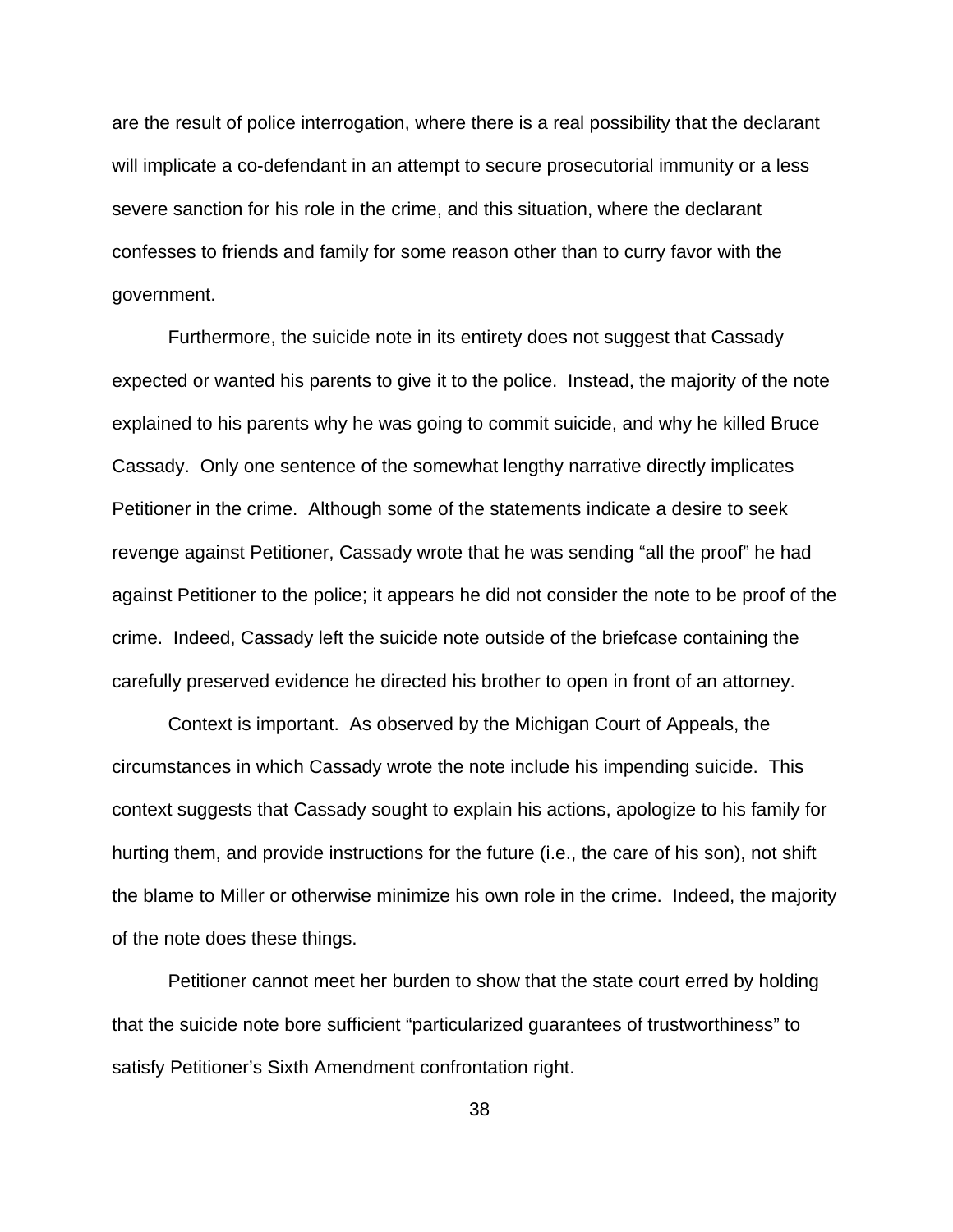are the result of police interrogation, where there is a real possibility that the declarant will implicate a co-defendant in an attempt to secure prosecutorial immunity or a less severe sanction for his role in the crime, and this situation, where the declarant confesses to friends and family for some reason other than to curry favor with the government.

Furthermore, the suicide note in its entirety does not suggest that Cassady expected or wanted his parents to give it to the police. Instead, the majority of the note explained to his parents why he was going to commit suicide, and why he killed Bruce Cassady. Only one sentence of the somewhat lengthy narrative directly implicates Petitioner in the crime. Although some of the statements indicate a desire to seek revenge against Petitioner, Cassady wrote that he was sending "all the proof" he had against Petitioner to the police; it appears he did not consider the note to be proof of the crime. Indeed, Cassady left the suicide note outside of the briefcase containing the carefully preserved evidence he directed his brother to open in front of an attorney.

Context is important. As observed by the Michigan Court of Appeals, the circumstances in which Cassady wrote the note include his impending suicide. This context suggests that Cassady sought to explain his actions, apologize to his family for hurting them, and provide instructions for the future (i.e., the care of his son), not shift the blame to Miller or otherwise minimize his own role in the crime. Indeed, the majority of the note does these things.

Petitioner cannot meet her burden to show that the state court erred by holding that the suicide note bore sufficient "particularized guarantees of trustworthiness" to satisfy Petitioner's Sixth Amendment confrontation right.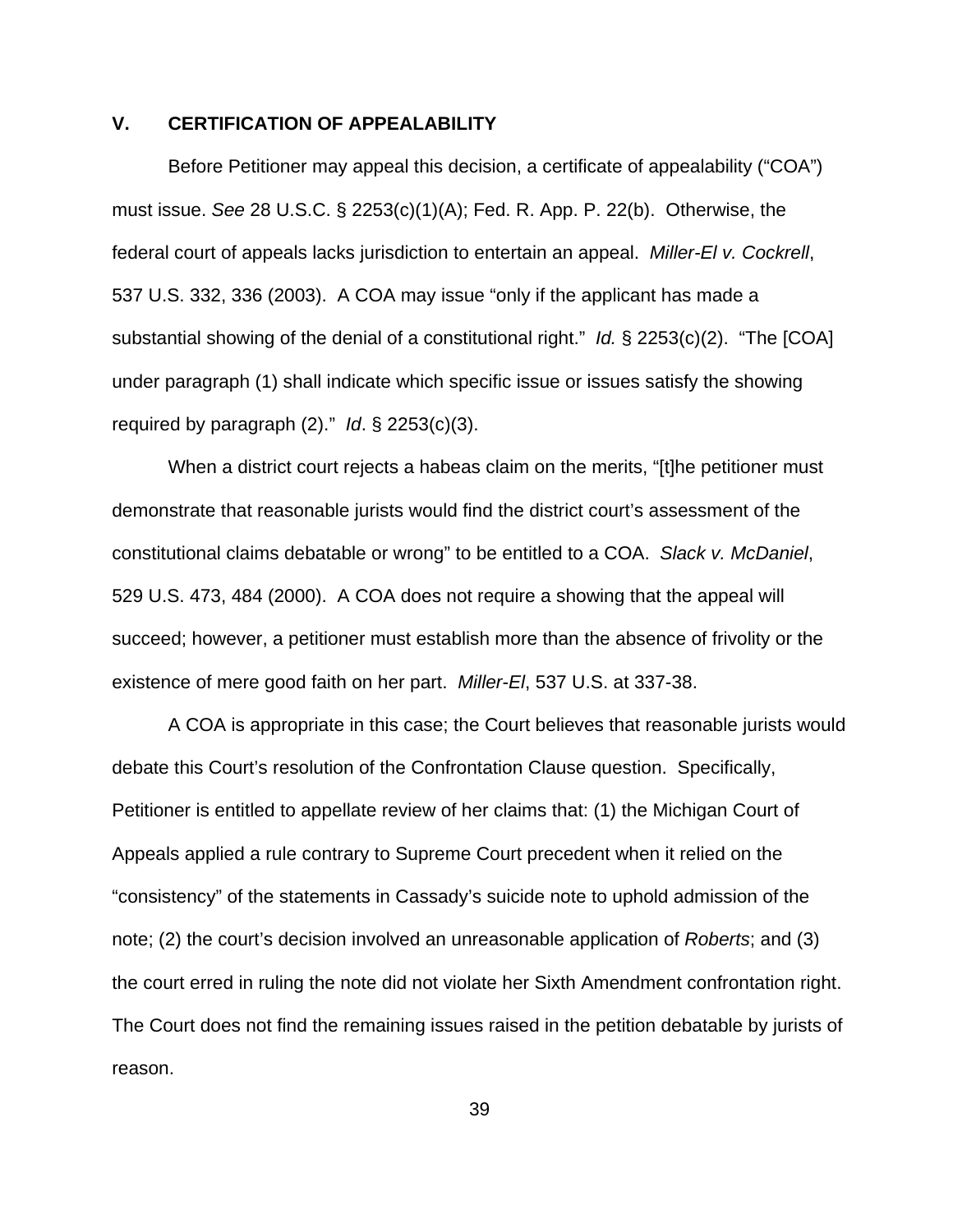# **V. CERTIFICATION OF APPEALABILITY**

Before Petitioner may appeal this decision, a certificate of appealability ("COA") must issue. *See* 28 U.S.C. § 2253(c)(1)(A); Fed. R. App. P. 22(b). Otherwise, the federal court of appeals lacks jurisdiction to entertain an appeal. *Miller-El v. Cockrell*, 537 U.S. 332, 336 (2003). A COA may issue "only if the applicant has made a substantial showing of the denial of a constitutional right." *Id.* § 2253(c)(2). "The [COA] under paragraph (1) shall indicate which specific issue or issues satisfy the showing required by paragraph (2)." *Id*. § 2253(c)(3).

When a district court rejects a habeas claim on the merits, "[t]he petitioner must demonstrate that reasonable jurists would find the district court's assessment of the constitutional claims debatable or wrong" to be entitled to a COA. *Slack v. McDaniel*, 529 U.S. 473, 484 (2000). A COA does not require a showing that the appeal will succeed; however, a petitioner must establish more than the absence of frivolity or the existence of mere good faith on her part. *Miller-El*, 537 U.S. at 337-38.

A COA is appropriate in this case; the Court believes that reasonable jurists would debate this Court's resolution of the Confrontation Clause question. Specifically, Petitioner is entitled to appellate review of her claims that: (1) the Michigan Court of Appeals applied a rule contrary to Supreme Court precedent when it relied on the "consistency" of the statements in Cassady's suicide note to uphold admission of the note; (2) the court's decision involved an unreasonable application of *Roberts*; and (3) the court erred in ruling the note did not violate her Sixth Amendment confrontation right. The Court does not find the remaining issues raised in the petition debatable by jurists of reason.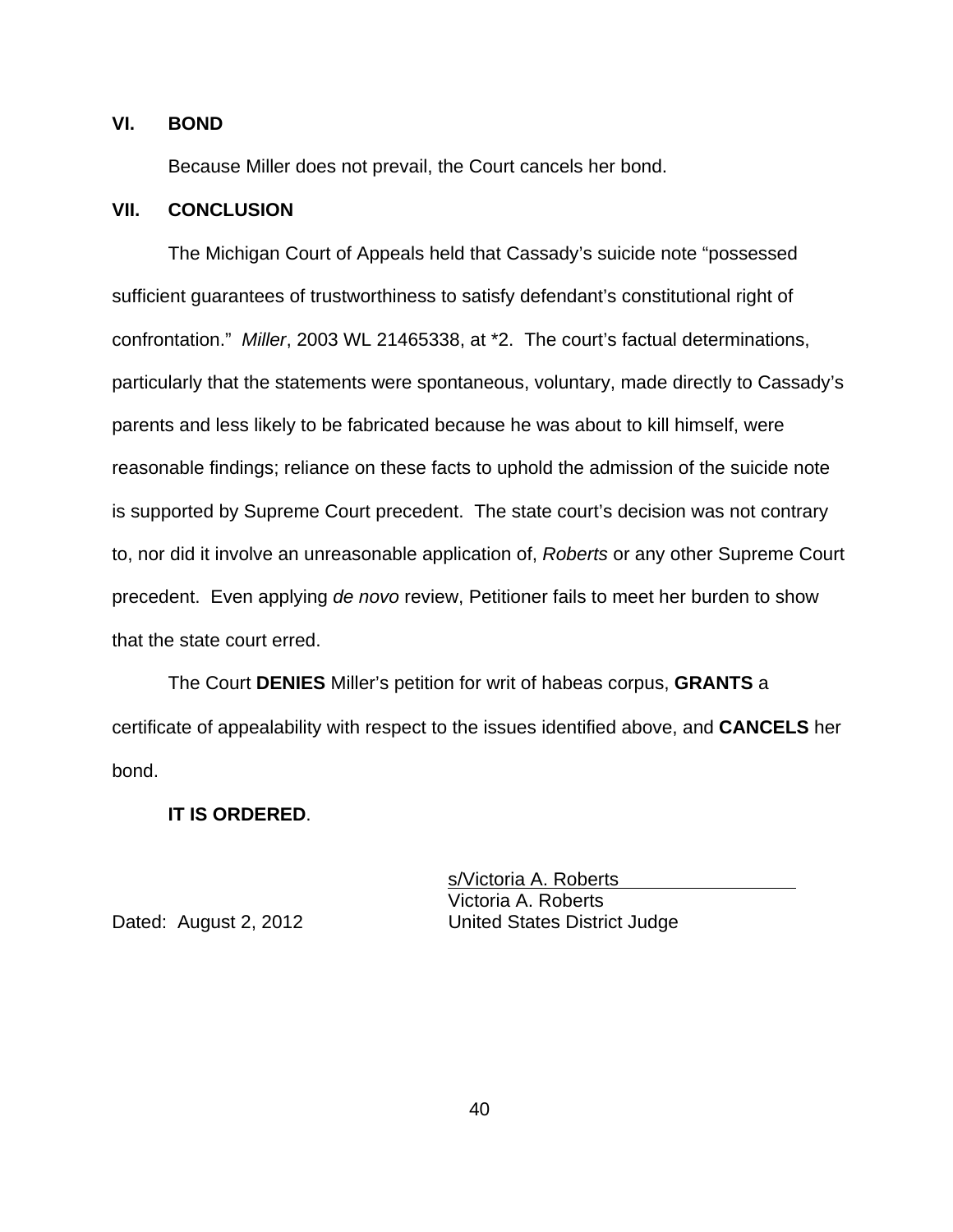# **VI. BOND**

Because Miller does not prevail, the Court cancels her bond.

#### **VII. CONCLUSION**

The Michigan Court of Appeals held that Cassady's suicide note "possessed sufficient guarantees of trustworthiness to satisfy defendant's constitutional right of confrontation." *Miller*, 2003 WL 21465338, at \*2. The court's factual determinations, particularly that the statements were spontaneous, voluntary, made directly to Cassady's parents and less likely to be fabricated because he was about to kill himself, were reasonable findings; reliance on these facts to uphold the admission of the suicide note is supported by Supreme Court precedent. The state court's decision was not contrary to, nor did it involve an unreasonable application of, *Roberts* or any other Supreme Court precedent. Even applying *de novo* review, Petitioner fails to meet her burden to show that the state court erred.

The Court **DENIES** Miller's petition for writ of habeas corpus, **GRANTS** a certificate of appealability with respect to the issues identified above, and **CANCELS** her bond.

### **IT IS ORDERED**.

s/Victoria A. Roberts Victoria A. Roberts Dated: August 2, 2012 United States District Judge